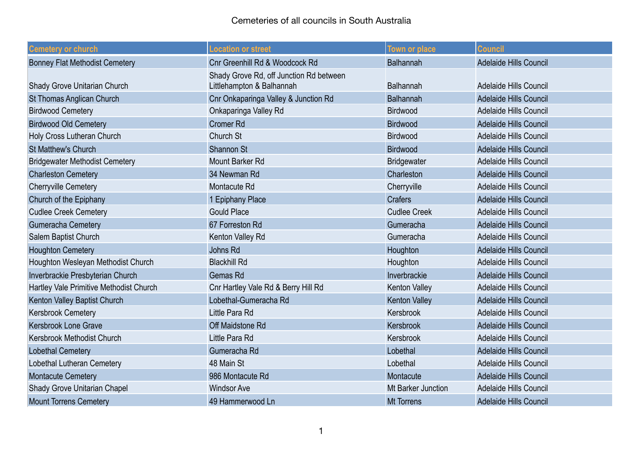| <b>Cemetery or church</b>               | <b>Location or street</b>                                            | <b>Town or place</b> | <b>Council</b>                |
|-----------------------------------------|----------------------------------------------------------------------|----------------------|-------------------------------|
| <b>Bonney Flat Methodist Cemetery</b>   | Cnr Greenhill Rd & Woodcock Rd                                       | Balhannah            | <b>Adelaide Hills Council</b> |
| Shady Grove Unitarian Church            | Shady Grove Rd, off Junction Rd between<br>Littlehampton & Balhannah | <b>Balhannah</b>     | <b>Adelaide Hills Council</b> |
| <b>St Thomas Anglican Church</b>        | Cnr Onkaparinga Valley & Junction Rd                                 | <b>Balhannah</b>     | <b>Adelaide Hills Council</b> |
| <b>Birdwood Cemetery</b>                | Onkaparinga Valley Rd                                                | <b>Birdwood</b>      | Adelaide Hills Council        |
| <b>Birdwood Old Cemetery</b>            | <b>Cromer Rd</b>                                                     | <b>Birdwood</b>      | <b>Adelaide Hills Council</b> |
| Holy Cross Lutheran Church              | Church St                                                            | Birdwood             | <b>Adelaide Hills Council</b> |
| <b>St Matthew's Church</b>              | Shannon St                                                           | <b>Birdwood</b>      | <b>Adelaide Hills Council</b> |
| <b>Bridgewater Methodist Cemetery</b>   | Mount Barker Rd                                                      | Bridgewater          | <b>Adelaide Hills Council</b> |
| <b>Charleston Cemetery</b>              | 34 Newman Rd                                                         | Charleston           | Adelaide Hills Council        |
| <b>Cherryville Cemetery</b>             | Montacute Rd                                                         | Cherryville          | <b>Adelaide Hills Council</b> |
| Church of the Epiphany                  | 1 Epiphany Place                                                     | <b>Crafers</b>       | <b>Adelaide Hills Council</b> |
| <b>Cudlee Creek Cemetery</b>            | <b>Gould Place</b>                                                   | <b>Cudlee Creek</b>  | Adelaide Hills Council        |
| <b>Gumeracha Cemetery</b>               | 67 Forreston Rd                                                      | Gumeracha            | Adelaide Hills Council        |
| Salem Baptist Church                    | Kenton Valley Rd                                                     | Gumeracha            | <b>Adelaide Hills Council</b> |
| <b>Houghton Cemetery</b>                | Johns Rd                                                             | Houghton             | Adelaide Hills Council        |
| Houghton Wesleyan Methodist Church      | <b>Blackhill Rd</b>                                                  | Houghton             | <b>Adelaide Hills Council</b> |
| Inverbrackie Presbyterian Church        | Gemas Rd                                                             | Inverbrackie         | <b>Adelaide Hills Council</b> |
| Hartley Vale Primitive Methodist Church | Cnr Hartley Vale Rd & Berry Hill Rd                                  | <b>Kenton Valley</b> | Adelaide Hills Council        |
| Kenton Valley Baptist Church            | Lobethal-Gumeracha Rd                                                | <b>Kenton Valley</b> | <b>Adelaide Hills Council</b> |
| Kersbrook Cemetery                      | Little Para Rd                                                       | Kersbrook            | <b>Adelaide Hills Council</b> |
| Kersbrook Lone Grave                    | Off Maidstone Rd                                                     | Kersbrook            | Adelaide Hills Council        |
| Kersbrook Methodist Church              | Little Para Rd                                                       | Kersbrook            | Adelaide Hills Council        |
| <b>Lobethal Cemetery</b>                | Gumeracha Rd                                                         | Lobethal             | Adelaide Hills Council        |
| Lobethal Lutheran Cemetery              | 48 Main St                                                           | Lobethal             | Adelaide Hills Council        |
| <b>Montacute Cemetery</b>               | 986 Montacute Rd                                                     | Montacute            | <b>Adelaide Hills Council</b> |
| <b>Shady Grove Unitarian Chapel</b>     | <b>Windsor Ave</b>                                                   | Mt Barker Junction   | <b>Adelaide Hills Council</b> |
| <b>Mount Torrens Cemetery</b>           | 49 Hammerwood Ln                                                     | <b>Mt Torrens</b>    | <b>Adelaide Hills Council</b> |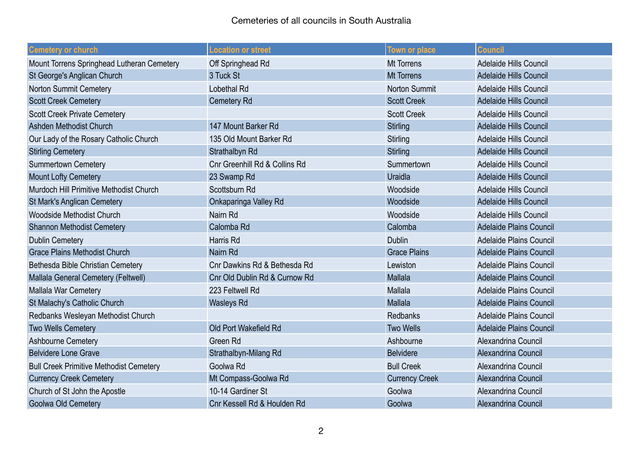| <b>Cemetery or church</b>                      | <b>Location or street</b>     | <b>Town or place</b>  | <b>Council</b>                 |
|------------------------------------------------|-------------------------------|-----------------------|--------------------------------|
| Mount Torrens Springhead Lutheran Cemetery     | Off Springhead Rd             | Mt Torrens            | Adelaide Hills Council         |
| St George's Anglican Church                    | 3 Tuck St                     | <b>Mt Torrens</b>     | <b>Adelaide Hills Council</b>  |
| Norton Summit Cemetery                         | <b>Lobethal Rd</b>            | <b>Norton Summit</b>  | Adelaide Hills Council         |
| <b>Scott Creek Cemetery</b>                    | <b>Cemetery Rd</b>            | <b>Scott Creek</b>    | <b>Adelaide Hills Council</b>  |
| <b>Scott Creek Private Cemetery</b>            |                               | <b>Scott Creek</b>    | Adelaide Hills Council         |
| Ashden Methodist Church                        | 147 Mount Barker Rd           | <b>Stirling</b>       | <b>Adelaide Hills Council</b>  |
| Our Lady of the Rosary Catholic Church         | 135 Old Mount Barker Rd       | Stirling              | <b>Adelaide Hills Council</b>  |
| <b>Stirling Cemetery</b>                       | Strathalbyn Rd                | <b>Stirling</b>       | Adelaide Hills Council         |
| <b>Summertown Cemetery</b>                     | Cnr Greenhill Rd & Collins Rd | Summertown            | <b>Adelaide Hills Council</b>  |
| <b>Mount Lofty Cemetery</b>                    | 23 Swamp Rd                   | Uraidla               | Adelaide Hills Council         |
| Murdoch Hill Primitive Methodist Church        | Scottsburn Rd                 | Woodside              | Adelaide Hills Council         |
| <b>St Mark's Anglican Cemetery</b>             | Onkaparinga Valley Rd         | Woodside              | <b>Adelaide Hills Council</b>  |
| Woodside Methodist Church                      | Nairn Rd                      | Woodside              | Adelaide Hills Council         |
| <b>Shannon Methodist Cemetery</b>              | Calomba Rd                    | Calomba               | <b>Adelaide Plains Council</b> |
| <b>Dublin Cemetery</b>                         | <b>Harris Rd</b>              | <b>Dublin</b>         | Adelaide Plains Council        |
| <b>Grace Plains Methodist Church</b>           | Nairn Rd                      | <b>Grace Plains</b>   | <b>Adelaide Plains Council</b> |
| Bethesda Bible Christian Cemetery              | Cnr Dawkins Rd & Bethesda Rd  | Lewiston              | Adelaide Plains Council        |
| Mallala General Cemetery (Feltwell)            | Cnr Old Dublin Rd & Curnow Rd | Mallala               | <b>Adelaide Plains Council</b> |
| Mallala War Cemetery                           | 223 Feltwell Rd               | Mallala               | <b>Adelaide Plains Council</b> |
| St Malachy's Catholic Church                   | <b>Wasleys Rd</b>             | Mallala               | <b>Adelaide Plains Council</b> |
| Redbanks Wesleyan Methodist Church             |                               | <b>Redbanks</b>       | Adelaide Plains Council        |
| <b>Two Wells Cemetery</b>                      | Old Port Wakefield Rd         | <b>Two Wells</b>      | <b>Adelaide Plains Council</b> |
| Ashbourne Cemetery                             | Green Rd                      | Ashbourne             | Alexandrina Council            |
| <b>Belvidere Lone Grave</b>                    | Strathalbyn-Milang Rd         | <b>Belvidere</b>      | Alexandrina Council            |
| <b>Bull Creek Primitive Methodist Cemetery</b> | Goolwa Rd                     | <b>Bull Creek</b>     | Alexandrina Council            |
| <b>Currency Creek Cemetery</b>                 | Mt Compass-Goolwa Rd          | <b>Currency Creek</b> | Alexandrina Council            |
| Church of St John the Apostle                  | 10-14 Gardiner St             | Goolwa                | Alexandrina Council            |
| Goolwa Old Cemetery                            | Cnr Kessell Rd & Houlden Rd   | Goolwa                | Alexandrina Council            |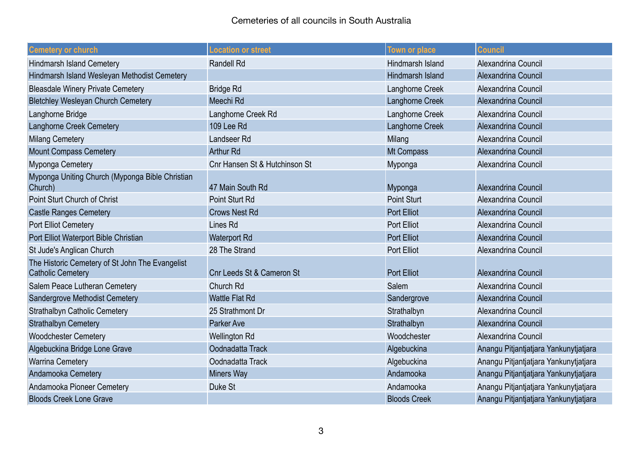| <b>Cemetery or church</b>                                                   | <b>Location or street</b>     | <b>Town or place</b> | <b>Council</b>                        |
|-----------------------------------------------------------------------------|-------------------------------|----------------------|---------------------------------------|
| <b>Hindmarsh Island Cemetery</b>                                            | <b>Randell Rd</b>             | Hindmarsh Island     | Alexandrina Council                   |
| Hindmarsh Island Wesleyan Methodist Cemetery                                |                               | Hindmarsh Island     | Alexandrina Council                   |
| <b>Bleasdale Winery Private Cemetery</b>                                    | <b>Bridge Rd</b>              | Langhorne Creek      | Alexandrina Council                   |
| <b>Bletchley Wesleyan Church Cemetery</b>                                   | Meechi Rd                     | Langhorne Creek      | Alexandrina Council                   |
| Langhorne Bridge                                                            | Langhorne Creek Rd            | Langhorne Creek      | Alexandrina Council                   |
| Langhorne Creek Cemetery                                                    | 109 Lee Rd                    | Langhorne Creek      | Alexandrina Council                   |
| <b>Milang Cemetery</b>                                                      | Landseer Rd                   | Milang               | Alexandrina Council                   |
| <b>Mount Compass Cemetery</b>                                               | <b>Arthur Rd</b>              | Mt Compass           | Alexandrina Council                   |
| Myponga Cemetery                                                            | Cnr Hansen St & Hutchinson St | Myponga              | Alexandrina Council                   |
| Myponga Uniting Church (Myponga Bible Christian<br>Church)                  | 47 Main South Rd              | Myponga              | Alexandrina Council                   |
| Point Sturt Church of Christ                                                | Point Sturt Rd                | <b>Point Sturt</b>   | Alexandrina Council                   |
| <b>Castle Ranges Cemetery</b>                                               | <b>Crows Nest Rd</b>          | <b>Port Elliot</b>   | Alexandrina Council                   |
| Port Elliot Cemetery                                                        | Lines Rd                      | <b>Port Elliot</b>   | Alexandrina Council                   |
| Port Elliot Waterport Bible Christian                                       | <b>Waterport Rd</b>           | <b>Port Elliot</b>   | Alexandrina Council                   |
| St Jude's Anglican Church                                                   | 28 The Strand                 | <b>Port Elliot</b>   | Alexandrina Council                   |
| The Historic Cemetery of St John The Evangelist<br><b>Catholic Cemetery</b> | Cnr Leeds St & Cameron St     | <b>Port Elliot</b>   | Alexandrina Council                   |
| Salem Peace Lutheran Cemetery                                               | Church Rd                     | Salem                | Alexandrina Council                   |
| Sandergrove Methodist Cemetery                                              | <b>Wattle Flat Rd</b>         | Sandergrove          | Alexandrina Council                   |
| <b>Strathalbyn Catholic Cemetery</b>                                        | 25 Strathmont Dr              | Strathalbyn          | Alexandrina Council                   |
| <b>Strathalbyn Cemetery</b>                                                 | Parker Ave                    | Strathalbyn          | Alexandrina Council                   |
| <b>Woodchester Cemetery</b>                                                 | <b>Wellington Rd</b>          | Woodchester          | Alexandrina Council                   |
| Algebuckina Bridge Lone Grave                                               | Oodnadatta Track              | Algebuckina          | Anangu Pitjantjatjara Yankunytjatjara |
| <b>Warrina Cemetery</b>                                                     | Oodnadatta Track              | Algebuckina          | Anangu Pitjantjatjara Yankunytjatjara |
| Andamooka Cemetery                                                          | <b>Miners Way</b>             | Andamooka            | Anangu Pitjantjatjara Yankunytjatjara |
| Andamooka Pioneer Cemetery                                                  | Duke St                       | Andamooka            | Anangu Pitjantjatjara Yankunytjatjara |
| <b>Bloods Creek Lone Grave</b>                                              |                               | <b>Bloods Creek</b>  | Anangu Pitjantjatjara Yankunytjatjara |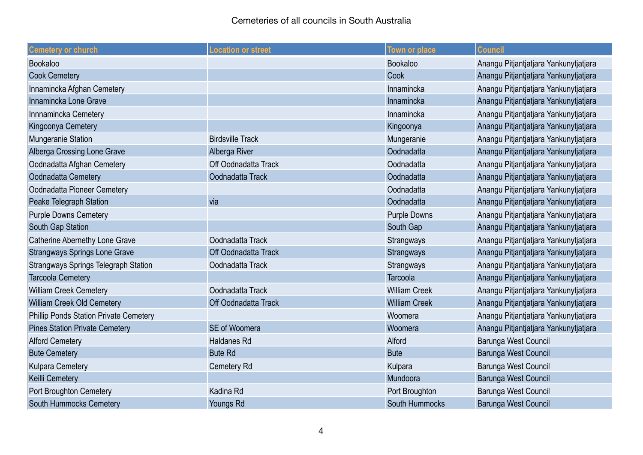| <b>Cemetery or church</b>                     | <b>Location or street</b> | <b>Town or place</b>  | <b>Council</b>                        |
|-----------------------------------------------|---------------------------|-----------------------|---------------------------------------|
| Bookaloo                                      |                           | Bookaloo              | Anangu Pitjantjatjara Yankunytjatjara |
| <b>Cook Cemetery</b>                          |                           | Cook                  | Anangu Pitjantjatjara Yankunytjatjara |
| Innamincka Afghan Cemetery                    |                           | Innamincka            | Anangu Pitjantjatjara Yankunytjatjara |
| Innamincka Lone Grave                         |                           | Innamincka            | Anangu Pitjantjatjara Yankunytjatjara |
| Innnamincka Cemetery                          |                           | Innamincka            | Anangu Pitjantjatjara Yankunytjatjara |
| Kingoonya Cemetery                            |                           | Kingoonya             | Anangu Pitjantjatjara Yankunytjatjara |
| Mungeranie Station                            | <b>Birdsville Track</b>   | Mungeranie            | Anangu Pitjantjatjara Yankunytjatjara |
| Alberga Crossing Lone Grave                   | Alberga River             | Oodnadatta            | Anangu Pitjantjatjara Yankunytjatjara |
| Oodnadatta Afghan Cemetery                    | Off Oodnadatta Track      | Oodnadatta            | Anangu Pitjantjatjara Yankunytjatjara |
| Oodnadatta Cemetery                           | Oodnadatta Track          | Oodnadatta            | Anangu Pitjantjatjara Yankunytjatjara |
| Oodnadatta Pioneer Cemetery                   |                           | Oodnadatta            | Anangu Pitjantjatjara Yankunytjatjara |
| Peake Telegraph Station                       | via                       | Oodnadatta            | Anangu Pitjantjatjara Yankunytjatjara |
| <b>Purple Downs Cemetery</b>                  |                           | <b>Purple Downs</b>   | Anangu Pitjantjatjara Yankunytjatjara |
| South Gap Station                             |                           | South Gap             | Anangu Pitjantjatjara Yankunytjatjara |
| Catherine Abernethy Lone Grave                | Oodnadatta Track          | Strangways            | Anangu Pitjantjatjara Yankunytjatjara |
| <b>Strangways Springs Lone Grave</b>          | Off Oodnadatta Track      | Strangways            | Anangu Pitjantjatjara Yankunytjatjara |
| <b>Strangways Springs Telegraph Station</b>   | Oodnadatta Track          | Strangways            | Anangu Pitjantjatjara Yankunytjatjara |
| <b>Tarcoola Cemetery</b>                      |                           | Tarcoola              | Anangu Pitjantjatjara Yankunytjatjara |
| <b>William Creek Cemetery</b>                 | Oodnadatta Track          | <b>William Creek</b>  | Anangu Pitjantjatjara Yankunytjatjara |
| William Creek Old Cemetery                    | Off Oodnadatta Track      | <b>William Creek</b>  | Anangu Pitjantjatjara Yankunytjatjara |
| <b>Phillip Ponds Station Private Cemetery</b> |                           | Woomera               | Anangu Pitjantjatjara Yankunytjatjara |
| <b>Pines Station Private Cemetery</b>         | SE of Woomera             | Woomera               | Anangu Pitjantjatjara Yankunytjatjara |
| <b>Alford Cemetery</b>                        | <b>Haldanes Rd</b>        | Alford                | Barunga West Council                  |
| <b>Bute Cemetery</b>                          | <b>Bute Rd</b>            | <b>Bute</b>           | Barunga West Council                  |
| Kulpara Cemetery                              | <b>Cemetery Rd</b>        | Kulpara               | Barunga West Council                  |
| Keilli Cemetery                               |                           | Mundoora              | Barunga West Council                  |
| Port Broughton Cemetery                       | Kadina Rd                 | Port Broughton        | Barunga West Council                  |
| South Hummocks Cemetery                       | Youngs Rd                 | <b>South Hummocks</b> | Barunga West Council                  |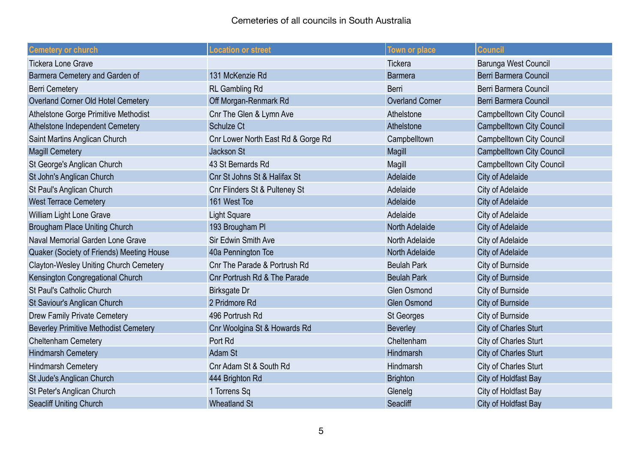| <b>Cemetery or church</b>                     | <b>Location or street</b>          | <b>Town or place</b>   | <b>Council</b>                   |
|-----------------------------------------------|------------------------------------|------------------------|----------------------------------|
| <b>Tickera Lone Grave</b>                     |                                    | Tickera                | Barunga West Council             |
| Barmera Cemetery and Garden of                | 131 McKenzie Rd                    | <b>Barmera</b>         | Berri Barmera Council            |
| <b>Berri Cemetery</b>                         | <b>RL Gambling Rd</b>              | Berri                  | Berri Barmera Council            |
| Overland Corner Old Hotel Cemetery            | Off Morgan-Renmark Rd              | <b>Overland Corner</b> | Berri Barmera Council            |
| Athelstone Gorge Primitive Methodist          | Cnr The Glen & Lymn Ave            | Athelstone             | <b>Campbelltown City Council</b> |
| Athelstone Independent Cemetery               | Schulze Ct                         | Athelstone             | <b>Campbelltown City Council</b> |
| Saint Martins Anglican Church                 | Cnr Lower North East Rd & Gorge Rd | Campbelltown           | <b>Campbelltown City Council</b> |
| <b>Magill Cemetery</b>                        | Jackson St                         | Magill                 | <b>Campbelltown City Council</b> |
| St George's Anglican Church                   | 43 St Bernards Rd                  | Magill                 | <b>Campbelltown City Council</b> |
| St John's Anglican Church                     | Cnr St Johns St & Halifax St       | Adelaide               | <b>City of Adelaide</b>          |
| St Paul's Anglican Church                     | Cnr Flinders St & Pulteney St      | Adelaide               | City of Adelaide                 |
| <b>West Terrace Cemetery</b>                  | 161 West Tce                       | Adelaide               | <b>City of Adelaide</b>          |
| William Light Lone Grave                      | <b>Light Square</b>                | Adelaide               | <b>City of Adelaide</b>          |
| <b>Brougham Place Uniting Church</b>          | 193 Brougham Pl                    | <b>North Adelaide</b>  | <b>City of Adelaide</b>          |
| Naval Memorial Garden Lone Grave              | <b>Sir Edwin Smith Ave</b>         | North Adelaide         | <b>City of Adelaide</b>          |
| Quaker (Society of Friends) Meeting House     | 40a Pennington Tce                 | <b>North Adelaide</b>  | <b>City of Adelaide</b>          |
| <b>Clayton-Wesley Uniting Church Cemetery</b> | Cnr The Parade & Portrush Rd       | <b>Beulah Park</b>     | <b>City of Burnside</b>          |
| Kensington Congregational Church              | Cnr Portrush Rd & The Parade       | <b>Beulah Park</b>     | <b>City of Burnside</b>          |
| St Paul's Catholic Church                     | <b>Birksgate Dr</b>                | <b>Glen Osmond</b>     | <b>City of Burnside</b>          |
| St Saviour's Anglican Church                  | 2 Pridmore Rd                      | <b>Glen Osmond</b>     | <b>City of Burnside</b>          |
| <b>Drew Family Private Cemetery</b>           | 496 Portrush Rd                    | St Georges             | City of Burnside                 |
| <b>Beverley Primitive Methodist Cemetery</b>  | Cnr Woolgina St & Howards Rd       | <b>Beverley</b>        | <b>City of Charles Sturt</b>     |
| <b>Cheltenham Cemetery</b>                    | Port Rd                            | Cheltenham             | City of Charles Sturt            |
| <b>Hindmarsh Cemetery</b>                     | <b>Adam St</b>                     | Hindmarsh              | <b>City of Charles Sturt</b>     |
| <b>Hindmarsh Cemetery</b>                     | Cnr Adam St & South Rd             | Hindmarsh              | City of Charles Sturt            |
| St Jude's Anglican Church                     | 444 Brighton Rd                    | <b>Brighton</b>        | City of Holdfast Bay             |
| St Peter's Anglican Church                    | 1 Torrens Sq                       | Glenelg                | City of Holdfast Bay             |
| <b>Seacliff Uniting Church</b>                | <b>Wheatland St</b>                | Seacliff               | <b>City of Holdfast Bay</b>      |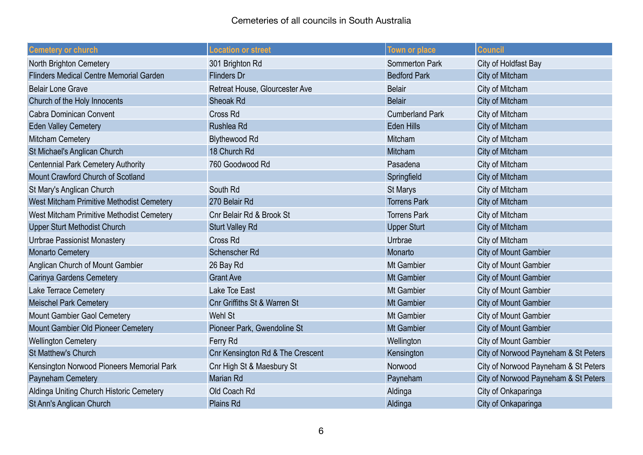| <b>Cemetery or church</b>                      | <b>Location or street</b>        | <b>Town or place</b>   | <b>Council</b>                       |
|------------------------------------------------|----------------------------------|------------------------|--------------------------------------|
| North Brighton Cemetery                        | 301 Brighton Rd                  | <b>Sommerton Park</b>  | City of Holdfast Bay                 |
| <b>Flinders Medical Centre Memorial Garden</b> | <b>Flinders Dr</b>               | <b>Bedford Park</b>    | City of Mitcham                      |
| <b>Belair Lone Grave</b>                       | Retreat House, Glourcester Ave   | <b>Belair</b>          | City of Mitcham                      |
| Church of the Holy Innocents                   | Sheoak Rd                        | <b>Belair</b>          | City of Mitcham                      |
| <b>Cabra Dominican Convent</b>                 | Cross Rd                         | <b>Cumberland Park</b> | City of Mitcham                      |
| <b>Eden Valley Cemetery</b>                    | Rushlea Rd                       | <b>Eden Hills</b>      | City of Mitcham                      |
| <b>Mitcham Cemetery</b>                        | <b>Blythewood Rd</b>             | Mitcham                | City of Mitcham                      |
| St Michael's Anglican Church                   | 18 Church Rd                     | Mitcham                | City of Mitcham                      |
| <b>Centennial Park Cemetery Authority</b>      | 760 Goodwood Rd                  | Pasadena               | City of Mitcham                      |
| Mount Crawford Church of Scotland              |                                  | Springfield            | City of Mitcham                      |
| St Mary's Anglican Church                      | South Rd                         | <b>St Marys</b>        | City of Mitcham                      |
| West Mitcham Primitive Methodist Cemetery      | 270 Belair Rd                    | <b>Torrens Park</b>    | City of Mitcham                      |
| West Mitcham Primitive Methodist Cemetery      | Cnr Belair Rd & Brook St         | <b>Torrens Park</b>    | City of Mitcham                      |
| <b>Upper Sturt Methodist Church</b>            | <b>Sturt Valley Rd</b>           | <b>Upper Sturt</b>     | City of Mitcham                      |
| Urrbrae Passionist Monastery                   | Cross Rd                         | Urrbrae                | City of Mitcham                      |
| <b>Monarto Cemetery</b>                        | Schenscher Rd                    | Monarto                | <b>City of Mount Gambier</b>         |
| Anglican Church of Mount Gambier               | 26 Bay Rd                        | Mt Gambier             | <b>City of Mount Gambier</b>         |
| Carinya Gardens Cemetery                       | <b>Grant Ave</b>                 | <b>Mt Gambier</b>      | <b>City of Mount Gambier</b>         |
| Lake Terrace Cemetery                          | Lake Tce East                    | Mt Gambier             | City of Mount Gambier                |
| <b>Meischel Park Cemetery</b>                  | Cnr Griffiths St & Warren St     | <b>Mt Gambier</b>      | <b>City of Mount Gambier</b>         |
| Mount Gambier Gaol Cemetery                    | Wehl St                          | Mt Gambier             | <b>City of Mount Gambier</b>         |
| Mount Gambier Old Pioneer Cemetery             | Pioneer Park, Gwendoline St      | <b>Mt Gambier</b>      | <b>City of Mount Gambier</b>         |
| <b>Wellington Cemetery</b>                     | Ferry Rd                         | Wellington             | <b>City of Mount Gambier</b>         |
| St Matthew's Church                            | Cnr Kensington Rd & The Crescent | Kensington             | City of Norwood Payneham & St Peters |
| Kensington Norwood Pioneers Memorial Park      | Cnr High St & Maesbury St        | Norwood                | City of Norwood Payneham & St Peters |
| Payneham Cemetery                              | <b>Marian Rd</b>                 | Payneham               | City of Norwood Payneham & St Peters |
| Aldinga Uniting Church Historic Cemetery       | Old Coach Rd                     | Aldinga                | City of Onkaparinga                  |
| St Ann's Anglican Church                       | Plains Rd                        | Aldinga                | City of Onkaparinga                  |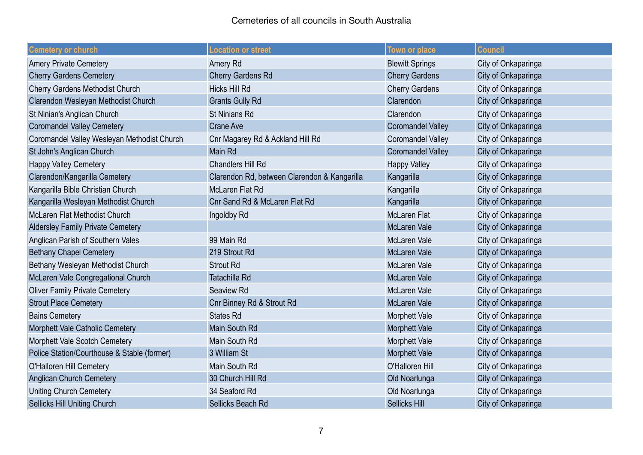| <b>Cemetery or church</b>                   | <b>Location or street</b>                    | <b>Town or place</b>     | <b>Council</b>      |
|---------------------------------------------|----------------------------------------------|--------------------------|---------------------|
| <b>Amery Private Cemetery</b>               | Amery Rd                                     | <b>Blewitt Springs</b>   | City of Onkaparinga |
| <b>Cherry Gardens Cemetery</b>              | <b>Cherry Gardens Rd</b>                     | <b>Cherry Gardens</b>    | City of Onkaparinga |
| <b>Cherry Gardens Methodist Church</b>      | Hicks Hill Rd                                | <b>Cherry Gardens</b>    | City of Onkaparinga |
| Clarendon Wesleyan Methodist Church         | <b>Grants Gully Rd</b>                       | Clarendon                | City of Onkaparinga |
| St Ninian's Anglican Church                 | <b>St Ninians Rd</b>                         | Clarendon                | City of Onkaparinga |
| <b>Coromandel Valley Cemetery</b>           | <b>Crane Ave</b>                             | <b>Coromandel Valley</b> | City of Onkaparinga |
| Coromandel Valley Wesleyan Methodist Church | Cnr Magarey Rd & Ackland Hill Rd             | <b>Coromandel Valley</b> | City of Onkaparinga |
| St John's Anglican Church                   | Main Rd                                      | <b>Coromandel Valley</b> | City of Onkaparinga |
| <b>Happy Valley Cemetery</b>                | <b>Chandlers Hill Rd</b>                     | <b>Happy Valley</b>      | City of Onkaparinga |
| Clarendon/Kangarilla Cemetery               | Clarendon Rd, between Clarendon & Kangarilla | Kangarilla               | City of Onkaparinga |
| Kangarilla Bible Christian Church           | McLaren Flat Rd                              | Kangarilla               | City of Onkaparinga |
| Kangarilla Wesleyan Methodist Church        | Cnr Sand Rd & McLaren Flat Rd                | Kangarilla               | City of Onkaparinga |
| McLaren Flat Methodist Church               | Ingoldby Rd                                  | <b>McLaren Flat</b>      | City of Onkaparinga |
| <b>Aldersley Family Private Cemetery</b>    |                                              | <b>McLaren Vale</b>      | City of Onkaparinga |
| Anglican Parish of Southern Vales           | 99 Main Rd                                   | <b>McLaren Vale</b>      | City of Onkaparinga |
| <b>Bethany Chapel Cemetery</b>              | 219 Strout Rd                                | <b>McLaren Vale</b>      | City of Onkaparinga |
| Bethany Wesleyan Methodist Church           | <b>Strout Rd</b>                             | <b>McLaren Vale</b>      | City of Onkaparinga |
| McLaren Vale Congregational Church          | Tatachilla Rd                                | <b>McLaren Vale</b>      | City of Onkaparinga |
| <b>Oliver Family Private Cemetery</b>       | Seaview Rd                                   | McLaren Vale             | City of Onkaparinga |
| <b>Strout Place Cemetery</b>                | Cnr Binney Rd & Strout Rd                    | <b>McLaren Vale</b>      | City of Onkaparinga |
| <b>Bains Cemetery</b>                       | <b>States Rd</b>                             | <b>Morphett Vale</b>     | City of Onkaparinga |
| Morphett Vale Catholic Cemetery             | Main South Rd                                | <b>Morphett Vale</b>     | City of Onkaparinga |
| Morphett Vale Scotch Cemetery               | Main South Rd                                | <b>Morphett Vale</b>     | City of Onkaparinga |
| Police Station/Courthouse & Stable (former) | 3 William St                                 | <b>Morphett Vale</b>     | City of Onkaparinga |
| O'Halloren Hill Cemetery                    | Main South Rd                                | O'Halloren Hill          | City of Onkaparinga |
| <b>Anglican Church Cemetery</b>             | 30 Church Hill Rd                            | Old Noarlunga            | City of Onkaparinga |
| <b>Uniting Church Cemetery</b>              | 34 Seaford Rd                                | Old Noarlunga            | City of Onkaparinga |
| <b>Sellicks Hill Uniting Church</b>         | Sellicks Beach Rd                            | <b>Sellicks Hill</b>     | City of Onkaparinga |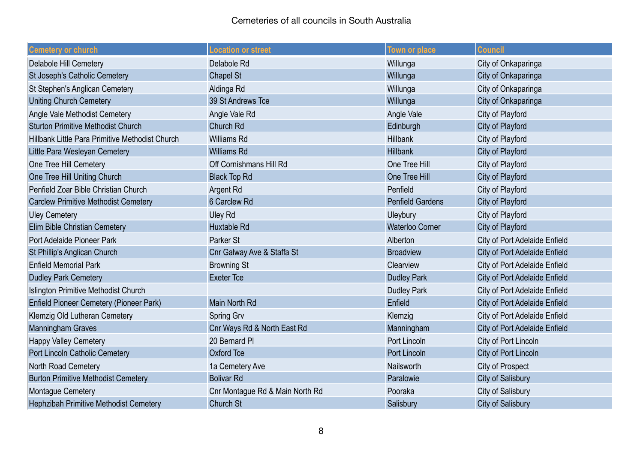| <b>Cemetery or church</b>                       | <b>Location or street</b>       | <b>Town or place</b>    | <b>Council</b>                       |
|-------------------------------------------------|---------------------------------|-------------------------|--------------------------------------|
| <b>Delabole Hill Cemetery</b>                   | Delabole Rd                     | Willunga                | City of Onkaparinga                  |
| St Joseph's Catholic Cemetery                   | Chapel St                       | Willunga                | City of Onkaparinga                  |
| St Stephen's Anglican Cemetery                  | Aldinga Rd                      | Willunga                | City of Onkaparinga                  |
| <b>Uniting Church Cemetery</b>                  | 39 St Andrews Tce               | Willunga                | City of Onkaparinga                  |
| Angle Vale Methodist Cemetery                   | Angle Vale Rd                   | Angle Vale              | City of Playford                     |
| <b>Sturton Primitive Methodist Church</b>       | Church Rd                       | Edinburgh               | City of Playford                     |
| Hillbank Little Para Primitive Methodist Church | <b>Williams Rd</b>              | <b>Hillbank</b>         | City of Playford                     |
| Little Para Wesleyan Cemetery                   | <b>Williams Rd</b>              | <b>Hillbank</b>         | City of Playford                     |
| One Tree Hill Cemetery                          | Off Cornishmans Hill Rd         | One Tree Hill           | City of Playford                     |
| One Tree Hill Uniting Church                    | <b>Black Top Rd</b>             | One Tree Hill           | City of Playford                     |
| Penfield Zoar Bible Christian Church            | Argent Rd                       | Penfield                | City of Playford                     |
| <b>Carclew Primitive Methodist Cemetery</b>     | 6 Carclew Rd                    | <b>Penfield Gardens</b> | City of Playford                     |
| <b>Uley Cemetery</b>                            | <b>Uley Rd</b>                  | Uleybury                | City of Playford                     |
| Elim Bible Christian Cemetery                   | <b>Huxtable Rd</b>              | <b>Waterloo Corner</b>  | City of Playford                     |
| Port Adelaide Pioneer Park                      | Parker St                       | Alberton                | <b>City of Port Adelaide Enfield</b> |
| St Phillip's Anglican Church                    | Cnr Galway Ave & Staffa St      | <b>Broadview</b>        | <b>City of Port Adelaide Enfield</b> |
| <b>Enfield Memorial Park</b>                    | <b>Browning St</b>              | Clearview               | <b>City of Port Adelaide Enfield</b> |
| Dudley Park Cemetery                            | <b>Exeter Tce</b>               | <b>Dudley Park</b>      | <b>City of Port Adelaide Enfield</b> |
| <b>Islington Primitive Methodist Church</b>     |                                 | <b>Dudley Park</b>      | <b>City of Port Adelaide Enfield</b> |
| <b>Enfield Pioneer Cemetery (Pioneer Park)</b>  | Main North Rd                   | Enfield                 | <b>City of Port Adelaide Enfield</b> |
| Klemzig Old Lutheran Cemetery                   | Spring Grv                      | Klemzig                 | <b>City of Port Adelaide Enfield</b> |
| <b>Manningham Graves</b>                        | Cnr Ways Rd & North East Rd     | Manningham              | <b>City of Port Adelaide Enfield</b> |
| <b>Happy Valley Cemetery</b>                    | 20 Bernard PI                   | Port Lincoln            | City of Port Lincoln                 |
| Port Lincoln Catholic Cemetery                  | <b>Oxford Tce</b>               | <b>Port Lincoln</b>     | City of Port Lincoln                 |
| North Road Cemetery                             | 1a Cemetery Ave                 | Nailsworth              | <b>City of Prospect</b>              |
| <b>Burton Primitive Methodist Cemetery</b>      | <b>Bolivar Rd</b>               | Paralowie               | <b>City of Salisbury</b>             |
| Montague Cemetery                               | Cnr Montague Rd & Main North Rd | Pooraka                 | <b>City of Salisbury</b>             |
| Hephzibah Primitive Methodist Cemetery          | Church St                       | Salisbury               | <b>City of Salisbury</b>             |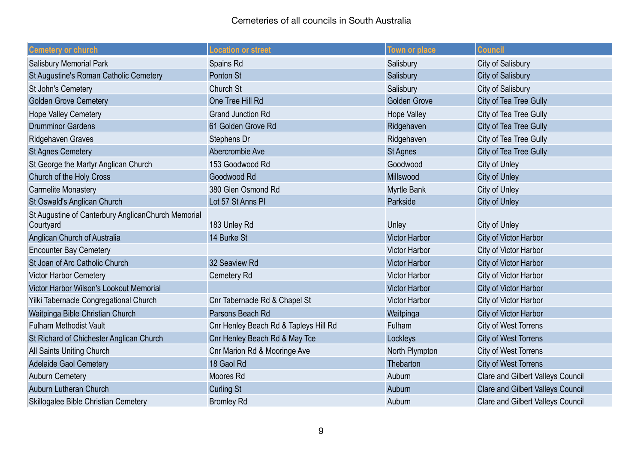| <b>Cemetery or church</b>                                       | <b>Location or street</b>             | <b>Town or place</b> | <b>Council</b>                           |
|-----------------------------------------------------------------|---------------------------------------|----------------------|------------------------------------------|
| <b>Salisbury Memorial Park</b>                                  | Spains Rd                             | Salisbury            | <b>City of Salisbury</b>                 |
| St Augustine's Roman Catholic Cemetery                          | Ponton St                             | Salisbury            | <b>City of Salisbury</b>                 |
| St John's Cemetery                                              | Church St                             | Salisbury            | <b>City of Salisbury</b>                 |
| <b>Golden Grove Cemetery</b>                                    | One Tree Hill Rd                      | <b>Golden Grove</b>  | City of Tea Tree Gully                   |
| <b>Hope Valley Cemetery</b>                                     | <b>Grand Junction Rd</b>              | <b>Hope Valley</b>   | City of Tea Tree Gully                   |
| <b>Drumminor Gardens</b>                                        | 61 Golden Grove Rd                    | Ridgehaven           | City of Tea Tree Gully                   |
| Ridgehaven Graves                                               | Stephens Dr                           | Ridgehaven           | City of Tea Tree Gully                   |
| <b>St Agnes Cemetery</b>                                        | Abercrombie Ave                       | <b>St Agnes</b>      | City of Tea Tree Gully                   |
| St George the Martyr Anglican Church                            | 153 Goodwood Rd                       | Goodwood             | City of Unley                            |
| Church of the Holy Cross                                        | Goodwood Rd                           | Millswood            | <b>City of Unley</b>                     |
| <b>Carmelite Monastery</b>                                      | 380 Glen Osmond Rd                    | <b>Myrtle Bank</b>   | City of Unley                            |
| St Oswald's Anglican Church                                     | Lot 57 St Anns PI                     | Parkside             | <b>City of Unley</b>                     |
| St Augustine of Canterbury AnglicanChurch Memorial<br>Courtyard | 183 Unley Rd                          | Unley                | City of Unley                            |
| Anglican Church of Australia                                    | 14 Burke St                           | <b>Victor Harbor</b> | City of Victor Harbor                    |
| <b>Encounter Bay Cemetery</b>                                   |                                       | <b>Victor Harbor</b> | City of Victor Harbor                    |
| St Joan of Arc Catholic Church                                  | 32 Seaview Rd                         | <b>Victor Harbor</b> | City of Victor Harbor                    |
| <b>Victor Harbor Cemetery</b>                                   | Cemetery Rd                           | <b>Victor Harbor</b> | City of Victor Harbor                    |
| Victor Harbor Wilson's Lookout Memorial                         |                                       | <b>Victor Harbor</b> | City of Victor Harbor                    |
| Yilki Tabernacle Congregational Church                          | Cnr Tabernacle Rd & Chapel St         | Victor Harbor        | City of Victor Harbor                    |
| Waitpinga Bible Christian Church                                | Parsons Beach Rd                      | Waitpinga            | City of Victor Harbor                    |
| <b>Fulham Methodist Vault</b>                                   | Cnr Henley Beach Rd & Tapleys Hill Rd | Fulham               | City of West Torrens                     |
| St Richard of Chichester Anglican Church                        | Cnr Henley Beach Rd & May Tce         | Lockleys             | <b>City of West Torrens</b>              |
| All Saints Uniting Church                                       | Cnr Marion Rd & Mooringe Ave          | North Plympton       | City of West Torrens                     |
| <b>Adelaide Gaol Cemetery</b>                                   | 18 Gaol Rd                            | Thebarton            | <b>City of West Torrens</b>              |
| <b>Auburn Cemetery</b>                                          | Moores Rd                             | Auburn               | <b>Clare and Gilbert Valleys Council</b> |
| Auburn Lutheran Church                                          | <b>Curling St</b>                     | Auburn               | <b>Clare and Gilbert Valleys Council</b> |
| Skillogalee Bible Christian Cemetery                            | <b>Bromley Rd</b>                     | Auburn               | <b>Clare and Gilbert Valleys Council</b> |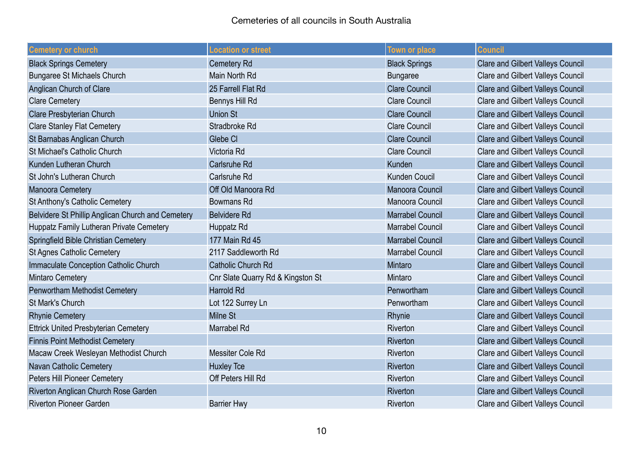| <b>Cemetery or church</b>                         | <b>Location or street</b>         | <b>Town or place</b>    | <b>Council</b>                           |
|---------------------------------------------------|-----------------------------------|-------------------------|------------------------------------------|
| <b>Black Springs Cemetery</b>                     | <b>Cemetery Rd</b>                | <b>Black Springs</b>    | <b>Clare and Gilbert Valleys Council</b> |
| <b>Bungaree St Michaels Church</b>                | Main North Rd                     | <b>Bungaree</b>         | <b>Clare and Gilbert Valleys Council</b> |
| Anglican Church of Clare                          | 25 Farrell Flat Rd                | <b>Clare Council</b>    | <b>Clare and Gilbert Valleys Council</b> |
| <b>Clare Cemetery</b>                             | Bennys Hill Rd                    | <b>Clare Council</b>    | <b>Clare and Gilbert Valleys Council</b> |
| Clare Presbyterian Church                         | <b>Union St</b>                   | <b>Clare Council</b>    | <b>Clare and Gilbert Valleys Council</b> |
| <b>Clare Stanley Flat Cemetery</b>                | Stradbroke Rd                     | <b>Clare Council</b>    | <b>Clare and Gilbert Valleys Council</b> |
| St Barnabas Anglican Church                       | Glebe CI                          | <b>Clare Council</b>    | <b>Clare and Gilbert Valleys Council</b> |
| St Michael's Catholic Church                      | Victoria Rd                       | <b>Clare Council</b>    | <b>Clare and Gilbert Valleys Council</b> |
| Kunden Lutheran Church                            | <b>Carlsruhe Rd</b>               | Kunden                  | <b>Clare and Gilbert Valleys Council</b> |
| St John's Lutheran Church                         | <b>Carlsruhe Rd</b>               | <b>Kunden Coucil</b>    | <b>Clare and Gilbert Valleys Council</b> |
| <b>Manoora Cemetery</b>                           | Off Old Manoora Rd                | Manoora Council         | <b>Clare and Gilbert Valleys Council</b> |
| St Anthony's Catholic Cemetery                    | <b>Bowmans Rd</b>                 | Manoora Council         | <b>Clare and Gilbert Valleys Council</b> |
| Belvidere St Phillip Anglican Church and Cemetery | <b>Belvidere Rd</b>               | <b>Marrabel Council</b> | <b>Clare and Gilbert Valleys Council</b> |
| Huppatz Family Lutheran Private Cemetery          | Huppatz Rd                        | <b>Marrabel Council</b> | <b>Clare and Gilbert Valleys Council</b> |
| Springfield Bible Christian Cemetery              | 177 Main Rd 45                    | <b>Marrabel Council</b> | <b>Clare and Gilbert Valleys Council</b> |
| <b>St Agnes Catholic Cemetery</b>                 | 2117 Saddleworth Rd               | <b>Marrabel Council</b> | Clare and Gilbert Valleys Council        |
| Immaculate Conception Catholic Church             | <b>Catholic Church Rd</b>         | Mintaro                 | <b>Clare and Gilbert Valleys Council</b> |
| Mintaro Cemetery                                  | Cnr Slate Quarry Rd & Kingston St | Mintaro                 | <b>Clare and Gilbert Valleys Council</b> |
| Penwortham Methodist Cemetery                     | <b>Harrold Rd</b>                 | Penwortham              | <b>Clare and Gilbert Valleys Council</b> |
| St Mark's Church                                  | Lot 122 Surrey Ln                 | Penwortham              | <b>Clare and Gilbert Valleys Council</b> |
| <b>Rhynie Cemetery</b>                            | <b>Milne St</b>                   | Rhynie                  | <b>Clare and Gilbert Valleys Council</b> |
| <b>Ettrick United Presbyterian Cemetery</b>       | Marrabel Rd                       | Riverton                | <b>Clare and Gilbert Valleys Council</b> |
| <b>Finnis Point Methodist Cemetery</b>            |                                   | Riverton                | <b>Clare and Gilbert Valleys Council</b> |
| Macaw Creek Wesleyan Methodist Church             | Messiter Cole Rd                  | Riverton                | <b>Clare and Gilbert Valleys Council</b> |
| Navan Catholic Cemetery                           | <b>Huxley Tce</b>                 | Riverton                | <b>Clare and Gilbert Valleys Council</b> |
| Peters Hill Pioneer Cemetery                      | Off Peters Hill Rd                | Riverton                | <b>Clare and Gilbert Valleys Council</b> |
| Riverton Anglican Church Rose Garden              |                                   | Riverton                | <b>Clare and Gilbert Valleys Council</b> |
| <b>Riverton Pioneer Garden</b>                    | <b>Barrier Hwy</b>                | Riverton                | <b>Clare and Gilbert Valleys Council</b> |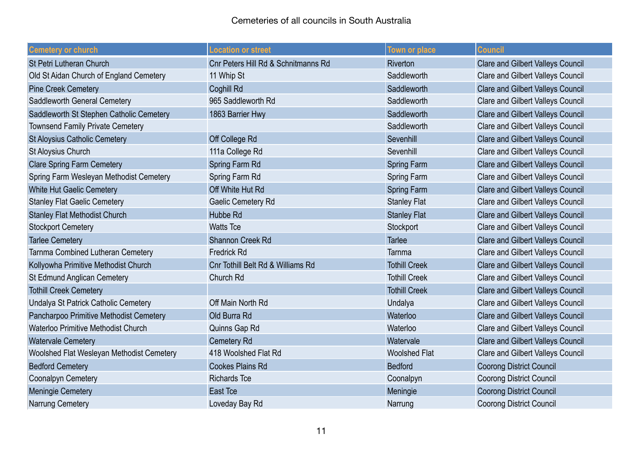| <b>Cemetery or church</b>                  | <b>Location or street</b>           | <b>Town or place</b> | <b>Council</b>                           |
|--------------------------------------------|-------------------------------------|----------------------|------------------------------------------|
| <b>St Petri Lutheran Church</b>            | Cnr Peters Hill Rd & Schnitmanns Rd | <b>Riverton</b>      | <b>Clare and Gilbert Valleys Council</b> |
| Old St Aidan Church of England Cemetery    | 11 Whip St                          | Saddleworth          | <b>Clare and Gilbert Valleys Council</b> |
| <b>Pine Creek Cemetery</b>                 | Coghill Rd                          | Saddleworth          | <b>Clare and Gilbert Valleys Council</b> |
| Saddleworth General Cemetery               | 965 Saddleworth Rd                  | Saddleworth          | <b>Clare and Gilbert Valleys Council</b> |
| Saddleworth St Stephen Catholic Cemetery   | 1863 Barrier Hwy                    | Saddleworth          | <b>Clare and Gilbert Valleys Council</b> |
| <b>Townsend Family Private Cemetery</b>    |                                     | Saddleworth          | <b>Clare and Gilbert Valleys Council</b> |
| <b>St Aloysius Catholic Cemetery</b>       | Off College Rd                      | Sevenhill            | <b>Clare and Gilbert Valleys Council</b> |
| St Aloysius Church                         | 111a College Rd                     | Sevenhill            | <b>Clare and Gilbert Valleys Council</b> |
| <b>Clare Spring Farm Cemetery</b>          | Spring Farm Rd                      | <b>Spring Farm</b>   | <b>Clare and Gilbert Valleys Council</b> |
| Spring Farm Wesleyan Methodist Cemetery    | Spring Farm Rd                      | <b>Spring Farm</b>   | <b>Clare and Gilbert Valleys Council</b> |
| White Hut Gaelic Cemetery                  | Off White Hut Rd                    | <b>Spring Farm</b>   | <b>Clare and Gilbert Valleys Council</b> |
| <b>Stanley Flat Gaelic Cemetery</b>        | Gaelic Cemetery Rd                  | <b>Stanley Flat</b>  | <b>Clare and Gilbert Valleys Council</b> |
| <b>Stanley Flat Methodist Church</b>       | <b>Hubbe Rd</b>                     | <b>Stanley Flat</b>  | <b>Clare and Gilbert Valleys Council</b> |
| <b>Stockport Cemetery</b>                  | <b>Watts Tce</b>                    | Stockport            | <b>Clare and Gilbert Valleys Council</b> |
| <b>Tarlee Cemetery</b>                     | <b>Shannon Creek Rd</b>             | <b>Tarlee</b>        | <b>Clare and Gilbert Valleys Council</b> |
| Tarnma Combined Lutheran Cemetery          | <b>Fredrick Rd</b>                  | Tarnma               | <b>Clare and Gilbert Valleys Council</b> |
| Kollyowha Primitive Methodist Church       | Cnr Tothill Belt Rd & Williams Rd   | <b>Tothill Creek</b> | <b>Clare and Gilbert Valleys Council</b> |
| St Edmund Anglican Cemetery                | Church Rd                           | <b>Tothill Creek</b> | <b>Clare and Gilbert Valleys Council</b> |
| <b>Tothill Creek Cemetery</b>              |                                     | <b>Tothill Creek</b> | <b>Clare and Gilbert Valleys Council</b> |
| Undalya St Patrick Catholic Cemetery       | Off Main North Rd                   | Undalya              | <b>Clare and Gilbert Valleys Council</b> |
| Pancharpoo Primitive Methodist Cemetery    | Old Burra Rd                        | Waterloo             | <b>Clare and Gilbert Valleys Council</b> |
| <b>Waterloo Primitive Methodist Church</b> | Quinns Gap Rd                       | Waterloo             | <b>Clare and Gilbert Valleys Council</b> |
| <b>Watervale Cemetery</b>                  | <b>Cemetery Rd</b>                  | Watervale            | <b>Clare and Gilbert Valleys Council</b> |
| Woolshed Flat Wesleyan Methodist Cemetery  | 418 Woolshed Flat Rd                | <b>Woolshed Flat</b> | <b>Clare and Gilbert Valleys Council</b> |
| <b>Bedford Cemetery</b>                    | <b>Cookes Plains Rd</b>             | <b>Bedford</b>       | <b>Coorong District Council</b>          |
| Coonalpyn Cemetery                         | <b>Richards Tce</b>                 | Coonalpyn            | <b>Coorong District Council</b>          |
| <b>Meningie Cemetery</b>                   | East Tce                            | Meningie             | <b>Coorong District Council</b>          |
| Narrung Cemetery                           | Loveday Bay Rd                      | Narrung              | <b>Coorong District Council</b>          |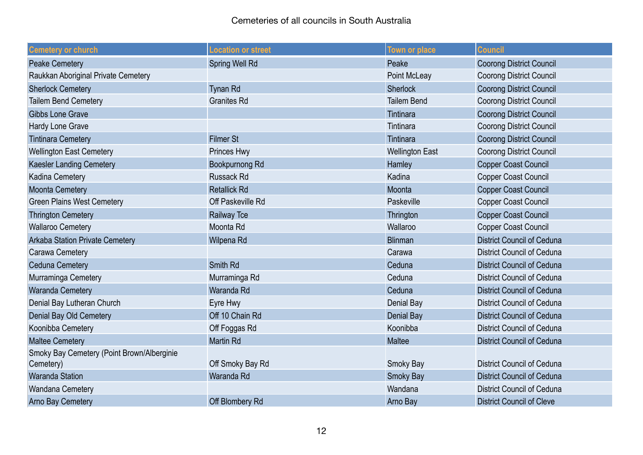| <b>Cemetery or church</b>                               | Location or street    | Town or place          | <b>Council</b>                    |
|---------------------------------------------------------|-----------------------|------------------------|-----------------------------------|
| <b>Peake Cemetery</b>                                   | <b>Spring Well Rd</b> | Peake                  | <b>Coorong District Council</b>   |
| Raukkan Aboriginal Private Cemetery                     |                       | Point McLeay           | <b>Coorong District Council</b>   |
| <b>Sherlock Cemetery</b>                                | <b>Tynan Rd</b>       | <b>Sherlock</b>        | <b>Coorong District Council</b>   |
| <b>Tailem Bend Cemetery</b>                             | <b>Granites Rd</b>    | <b>Tailem Bend</b>     | <b>Coorong District Council</b>   |
| <b>Gibbs Lone Grave</b>                                 |                       | Tintinara              | <b>Coorong District Council</b>   |
| Hardy Lone Grave                                        |                       | Tintinara              | <b>Coorong District Council</b>   |
| <b>Tintinara Cemetery</b>                               | <b>Filmer St</b>      | Tintinara              | <b>Coorong District Council</b>   |
| <b>Wellington East Cemetery</b>                         | Princes Hwy           | <b>Wellington East</b> | <b>Coorong District Council</b>   |
| <b>Kaesler Landing Cemetery</b>                         | Bookpurnong Rd        | Hamley                 | <b>Copper Coast Council</b>       |
| Kadina Cemetery                                         | <b>Russack Rd</b>     | Kadina                 | <b>Copper Coast Council</b>       |
| <b>Moonta Cemetery</b>                                  | <b>Retallick Rd</b>   | Moonta                 | <b>Copper Coast Council</b>       |
| <b>Green Plains West Cemetery</b>                       | Off Paskeville Rd     | Paskeville             | <b>Copper Coast Council</b>       |
| <b>Thrington Cemetery</b>                               | <b>Railway Tce</b>    | Thrington              | <b>Copper Coast Council</b>       |
| <b>Wallaroo Cemetery</b>                                | Moonta Rd             | Wallaroo               | <b>Copper Coast Council</b>       |
| <b>Arkaba Station Private Cemetery</b>                  | Wilpena Rd            | <b>Blinman</b>         | <b>District Council of Ceduna</b> |
| Carawa Cemetery                                         |                       | Carawa                 | <b>District Council of Ceduna</b> |
| <b>Ceduna Cemetery</b>                                  | Smith Rd              | Ceduna                 | <b>District Council of Ceduna</b> |
| Murraminga Cemetery                                     | Murraminga Rd         | Ceduna                 | <b>District Council of Ceduna</b> |
| <b>Waranda Cemetery</b>                                 | Waranda Rd            | Ceduna                 | <b>District Council of Ceduna</b> |
| Denial Bay Lutheran Church                              | Eyre Hwy              | Denial Bay             | <b>District Council of Ceduna</b> |
| Denial Bay Old Cemetery                                 | Off 10 Chain Rd       | Denial Bay             | <b>District Council of Ceduna</b> |
| Koonibba Cemetery                                       | Off Foggas Rd         | Koonibba               | <b>District Council of Ceduna</b> |
| <b>Maltee Cemetery</b>                                  | <b>Martin Rd</b>      | <b>Maltee</b>          | <b>District Council of Ceduna</b> |
| Smoky Bay Cemetery (Point Brown/Alberginie<br>Cemetery) | Off Smoky Bay Rd      | Smoky Bay              | <b>District Council of Ceduna</b> |
| <b>Waranda Station</b>                                  | Waranda Rd            | <b>Smoky Bay</b>       | <b>District Council of Ceduna</b> |
| Wandana Cemetery                                        |                       | Wandana                | <b>District Council of Ceduna</b> |
| <b>Arno Bay Cemetery</b>                                | Off Blombery Rd       | Arno Bay               | <b>District Council of Cleve</b>  |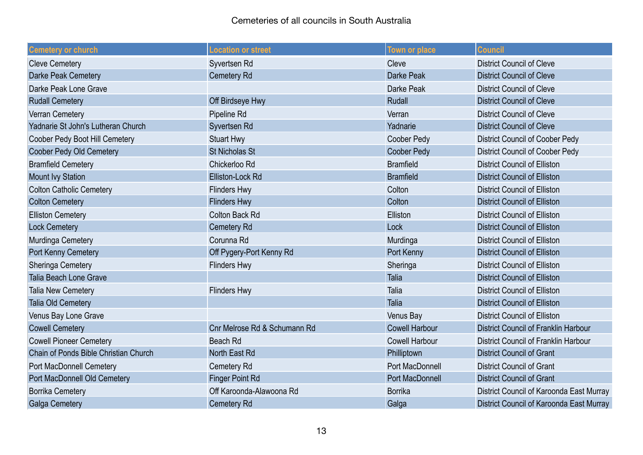| <b>Cemetery or church</b>             | <b>Location or street</b>    | Town or place          | <b>Council</b>                              |
|---------------------------------------|------------------------------|------------------------|---------------------------------------------|
| <b>Cleve Cemetery</b>                 | Syvertsen Rd                 | Cleve                  | <b>District Council of Cleve</b>            |
| Darke Peak Cemetery                   | Cemetery Rd                  | Darke Peak             | <b>District Council of Cleve</b>            |
| Darke Peak Lone Grave                 |                              | Darke Peak             | <b>District Council of Cleve</b>            |
| <b>Rudall Cemetery</b>                | Off Birdseye Hwy             | Rudall                 | <b>District Council of Cleve</b>            |
| Verran Cemetery                       | Pipeline Rd                  | Verran                 | <b>District Council of Cleve</b>            |
| Yadnarie St John's Lutheran Church    | Syvertsen Rd                 | Yadnarie               | <b>District Council of Cleve</b>            |
| Coober Pedy Boot Hill Cemetery        | <b>Stuart Hwy</b>            | Coober Pedy            | <b>District Council of Coober Pedy</b>      |
| Coober Pedy Old Cemetery              | <b>St Nicholas St</b>        | <b>Coober Pedy</b>     | <b>District Council of Coober Pedy</b>      |
| <b>Bramfield Cemetery</b>             | Chickerloo Rd                | <b>Bramfield</b>       | <b>District Council of Elliston</b>         |
| <b>Mount Ivy Station</b>              | Elliston-Lock Rd             | <b>Bramfield</b>       | <b>District Council of Elliston</b>         |
| <b>Colton Catholic Cemetery</b>       | <b>Flinders Hwy</b>          | Colton                 | <b>District Council of Elliston</b>         |
| <b>Colton Cemetery</b>                | <b>Flinders Hwy</b>          | Colton                 | <b>District Council of Elliston</b>         |
| <b>Elliston Cemetery</b>              | <b>Colton Back Rd</b>        | Elliston               | <b>District Council of Elliston</b>         |
| <b>Lock Cemetery</b>                  | Cemetery Rd                  | Lock                   | <b>District Council of Elliston</b>         |
| Murdinga Cemetery                     | Corunna Rd                   | Murdinga               | <b>District Council of Elliston</b>         |
| Port Kenny Cemetery                   | Off Pygery-Port Kenny Rd     | Port Kenny             | <b>District Council of Elliston</b>         |
| Sheringa Cemetery                     | <b>Flinders Hwy</b>          | Sheringa               | <b>District Council of Elliston</b>         |
| Talia Beach Lone Grave                |                              | <b>Talia</b>           | <b>District Council of Elliston</b>         |
| Talia New Cemetery                    | <b>Flinders Hwy</b>          | Talia                  | <b>District Council of Elliston</b>         |
| Talia Old Cemetery                    |                              | Talia                  | <b>District Council of Elliston</b>         |
| Venus Bay Lone Grave                  |                              | Venus Bay              | <b>District Council of Elliston</b>         |
| <b>Cowell Cemetery</b>                | Cnr Melrose Rd & Schumann Rd | <b>Cowell Harbour</b>  | <b>District Council of Franklin Harbour</b> |
| <b>Cowell Pioneer Cemetery</b>        | Beach Rd                     | <b>Cowell Harbour</b>  | District Council of Franklin Harbour        |
| Chain of Ponds Bible Christian Church | North East Rd                | Philliptown            | <b>District Council of Grant</b>            |
| <b>Port MacDonnell Cemetery</b>       | Cemetery Rd                  | <b>Port MacDonnell</b> | <b>District Council of Grant</b>            |
| Port MacDonnell Old Cemetery          | <b>Finger Point Rd</b>       | Port MacDonnell        | <b>District Council of Grant</b>            |
| <b>Borrika Cemetery</b>               | Off Karoonda-Alawoona Rd     | <b>Borrika</b>         | District Council of Karoonda East Murray    |
| <b>Galga Cemetery</b>                 | <b>Cemetery Rd</b>           | Galga                  | District Council of Karoonda East Murray    |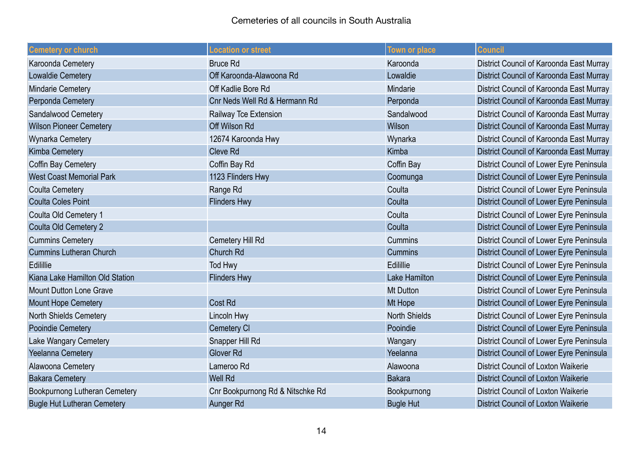| <b>Cemetery or church</b>          | <b>Location or street</b>        | <b>Town or place</b> | <b>Council</b>                             |
|------------------------------------|----------------------------------|----------------------|--------------------------------------------|
| Karoonda Cemetery                  | <b>Bruce Rd</b>                  | Karoonda             | District Council of Karoonda East Murray   |
| Lowaldie Cemetery                  | Off Karoonda-Alawoona Rd         | Lowaldie             | District Council of Karoonda East Murray   |
| Mindarie Cemetery                  | Off Kadlie Bore Rd               | Mindarie             | District Council of Karoonda East Murray   |
| Perponda Cemetery                  | Cnr Neds Well Rd & Hermann Rd    | Perponda             | District Council of Karoonda East Murray   |
| Sandalwood Cemetery                | Railway Tce Extension            | Sandalwood           | District Council of Karoonda East Murray   |
| <b>Wilson Pioneer Cemetery</b>     | Off Wilson Rd                    | Wilson               | District Council of Karoonda East Murray   |
| Wynarka Cemetery                   | 12674 Karoonda Hwy               | Wynarka              | District Council of Karoonda East Murray   |
| <b>Kimba Cemetery</b>              | <b>Cleve Rd</b>                  | Kimba                | District Council of Karoonda East Murray   |
| Coffin Bay Cemetery                | Coffin Bay Rd                    | Coffin Bay           | District Council of Lower Eyre Peninsula   |
| <b>West Coast Memorial Park</b>    | 1123 Flinders Hwy                | Coomunga             | District Council of Lower Eyre Peninsula   |
| <b>Coulta Cemetery</b>             | Range Rd                         | Coulta               | District Council of Lower Eyre Peninsula   |
| <b>Coulta Coles Point</b>          | <b>Flinders Hwy</b>              | Coulta               | District Council of Lower Eyre Peninsula   |
| Coulta Old Cemetery 1              |                                  | Coulta               | District Council of Lower Eyre Peninsula   |
| Coulta Old Cemetery 2              |                                  | Coulta               | District Council of Lower Eyre Peninsula   |
| <b>Cummins Cemetery</b>            | Cemetery Hill Rd                 | <b>Cummins</b>       | District Council of Lower Eyre Peninsula   |
| <b>Cummins Lutheran Church</b>     | Church Rd                        | <b>Cummins</b>       | District Council of Lower Eyre Peninsula   |
| Edilillie                          | Tod Hwy                          | Edilillie            | District Council of Lower Eyre Peninsula   |
| Kiana Lake Hamilton Old Station    | <b>Flinders Hwy</b>              | <b>Lake Hamilton</b> | District Council of Lower Eyre Peninsula   |
| <b>Mount Dutton Lone Grave</b>     |                                  | <b>Mt Dutton</b>     | District Council of Lower Eyre Peninsula   |
| Mount Hope Cemetery                | <b>Cost Rd</b>                   | Mt Hope              | District Council of Lower Eyre Peninsula   |
| <b>North Shields Cemetery</b>      | Lincoln Hwy                      | <b>North Shields</b> | District Council of Lower Eyre Peninsula   |
| <b>Pooindie Cemetery</b>           | Cemetery CI                      | Pooindie             | District Council of Lower Eyre Peninsula   |
| Lake Wangary Cemetery              | Snapper Hill Rd                  | Wangary              | District Council of Lower Eyre Peninsula   |
| Yeelanna Cemetery                  | <b>Glover Rd</b>                 | Yeelanna             | District Council of Lower Eyre Peninsula   |
| Alawoona Cemetery                  | Lameroo Rd                       | Alawoona             | <b>District Council of Loxton Waikerie</b> |
| <b>Bakara Cemetery</b>             | <b>Well Rd</b>                   | <b>Bakara</b>        | <b>District Council of Loxton Waikerie</b> |
| Bookpurnong Lutheran Cemetery      | Cnr Bookpurnong Rd & Nitschke Rd | Bookpurnong          | <b>District Council of Loxton Waikerie</b> |
| <b>Bugle Hut Lutheran Cemetery</b> | Aunger Rd                        | <b>Bugle Hut</b>     | <b>District Council of Loxton Waikerie</b> |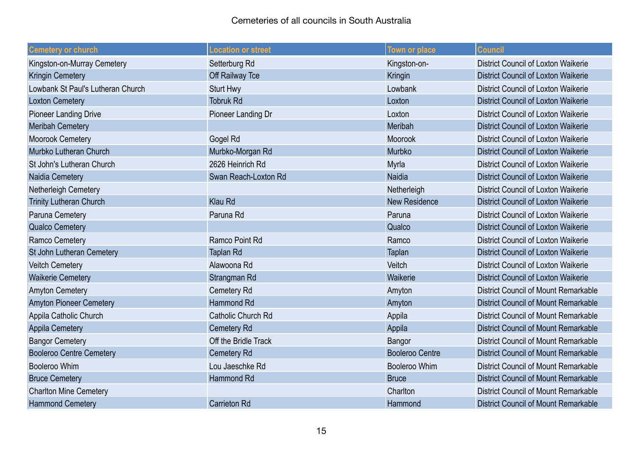| <b>Cemetery or church</b>         | <b>Location or street</b> | Town or place          | <b>Council</b>                              |
|-----------------------------------|---------------------------|------------------------|---------------------------------------------|
| Kingston-on-Murray Cemetery       | Setterburg Rd             | Kingston-on-           | <b>District Council of Loxton Waikerie</b>  |
| <b>Kringin Cemetery</b>           | Off Railway Tce           | Kringin                | <b>District Council of Loxton Waikerie</b>  |
| Lowbank St Paul's Lutheran Church | <b>Sturt Hwy</b>          | Lowbank                | District Council of Loxton Waikerie         |
| <b>Loxton Cemetery</b>            | <b>Tobruk Rd</b>          | Loxton                 | <b>District Council of Loxton Waikerie</b>  |
| <b>Pioneer Landing Drive</b>      | Pioneer Landing Dr        | Loxton                 | District Council of Loxton Waikerie         |
| <b>Meribah Cemetery</b>           |                           | Meribah                | <b>District Council of Loxton Waikerie</b>  |
| <b>Moorook Cemetery</b>           | Gogel Rd                  | <b>Moorook</b>         | District Council of Loxton Waikerie         |
| Murbko Lutheran Church            | Murbko-Morgan Rd          | Murbko                 | <b>District Council of Loxton Waikerie</b>  |
| St John's Lutheran Church         | 2626 Heinrich Rd          | Myrla                  | <b>District Council of Loxton Waikerie</b>  |
| Naidia Cemetery                   | Swan Reach-Loxton Rd      | <b>Naidia</b>          | <b>District Council of Loxton Waikerie</b>  |
| Netherleigh Cemetery              |                           | Netherleigh            | <b>District Council of Loxton Waikerie</b>  |
| <b>Trinity Lutheran Church</b>    | <b>Klau Rd</b>            | <b>New Residence</b>   | <b>District Council of Loxton Waikerie</b>  |
| Paruna Cemetery                   | Paruna Rd                 | Paruna                 | <b>District Council of Loxton Waikerie</b>  |
| <b>Qualco Cemetery</b>            |                           | Qualco                 | <b>District Council of Loxton Waikerie</b>  |
| Ramco Cemetery                    | Ramco Point Rd            | Ramco                  | District Council of Loxton Waikerie         |
| St John Lutheran Cemetery         | <b>Taplan Rd</b>          | Taplan                 | <b>District Council of Loxton Waikerie</b>  |
| <b>Veitch Cemetery</b>            | Alawoona Rd               | Veitch                 | District Council of Loxton Waikerie         |
| <b>Waikerie Cemetery</b>          | Strangman Rd              | Waikerie               | <b>District Council of Loxton Waikerie</b>  |
| <b>Amyton Cemetery</b>            | Cemetery Rd               | Amyton                 | District Council of Mount Remarkable        |
| <b>Amyton Pioneer Cemetery</b>    | Hammond Rd                | Amyton                 | <b>District Council of Mount Remarkable</b> |
| Appila Catholic Church            | Catholic Church Rd        | Appila                 | <b>District Council of Mount Remarkable</b> |
| <b>Appila Cemetery</b>            | Cemetery Rd               | Appila                 | <b>District Council of Mount Remarkable</b> |
| <b>Bangor Cemetery</b>            | Off the Bridle Track      | Bangor                 | District Council of Mount Remarkable        |
| <b>Booleroo Centre Cemetery</b>   | Cemetery Rd               | <b>Booleroo Centre</b> | <b>District Council of Mount Remarkable</b> |
| <b>Booleroo Whim</b>              | Lou Jaeschke Rd           | <b>Booleroo Whim</b>   | <b>District Council of Mount Remarkable</b> |
| <b>Bruce Cemetery</b>             | Hammond Rd                | <b>Bruce</b>           | <b>District Council of Mount Remarkable</b> |
| <b>Charlton Mine Cemetery</b>     |                           | Charlton               | District Council of Mount Remarkable        |
| <b>Hammond Cemetery</b>           | <b>Carrieton Rd</b>       | Hammond                | <b>District Council of Mount Remarkable</b> |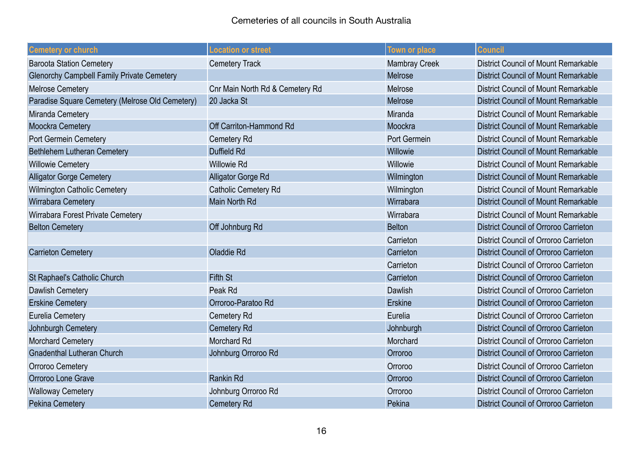| <b>Cemetery or church</b>                         | <b>Location or street</b>       | <b>Town or place</b> | <b>Council</b>                               |
|---------------------------------------------------|---------------------------------|----------------------|----------------------------------------------|
| <b>Baroota Station Cemetery</b>                   | <b>Cemetery Track</b>           | <b>Mambray Creek</b> | <b>District Council of Mount Remarkable</b>  |
| <b>Glenorchy Campbell Family Private Cemetery</b> |                                 | Melrose              | <b>District Council of Mount Remarkable</b>  |
| <b>Melrose Cemetery</b>                           | Cnr Main North Rd & Cemetery Rd | Melrose              | District Council of Mount Remarkable         |
| Paradise Square Cemetery (Melrose Old Cemetery)   | 20 Jacka St                     | Melrose              | <b>District Council of Mount Remarkable</b>  |
| Miranda Cemetery                                  |                                 | Miranda              | District Council of Mount Remarkable         |
| Moockra Cemetery                                  | Off Carriton-Hammond Rd         | Moockra              | <b>District Council of Mount Remarkable</b>  |
| Port Germein Cemetery                             | Cemetery Rd                     | Port Germein         | District Council of Mount Remarkable         |
| Bethlehem Lutheran Cemetery                       | <b>Duffield Rd</b>              | Willowie             | <b>District Council of Mount Remarkable</b>  |
| <b>Willowie Cemetery</b>                          | <b>Willowie Rd</b>              | Willowie             | <b>District Council of Mount Remarkable</b>  |
| <b>Alligator Gorge Cemetery</b>                   | Alligator Gorge Rd              | Wilmington           | <b>District Council of Mount Remarkable</b>  |
| Wilmington Catholic Cemetery                      | <b>Catholic Cemetery Rd</b>     | Wilmington           | <b>District Council of Mount Remarkable</b>  |
| Wirrabara Cemetery                                | Main North Rd                   | Wirrabara            | <b>District Council of Mount Remarkable</b>  |
| Wirrabara Forest Private Cemetery                 |                                 | Wirrabara            | District Council of Mount Remarkable         |
| <b>Belton Cemetery</b>                            | Off Johnburg Rd                 | <b>Belton</b>        | <b>District Council of Orroroo Carrieton</b> |
|                                                   |                                 | Carrieton            | District Council of Orroroo Carrieton        |
| <b>Carrieton Cemetery</b>                         | Oladdie Rd                      | Carrieton            | <b>District Council of Orroroo Carrieton</b> |
|                                                   |                                 | Carrieton            | District Council of Orroroo Carrieton        |
| St Raphael's Catholic Church                      | <b>Fifth St</b>                 | Carrieton            | <b>District Council of Orroroo Carrieton</b> |
| Dawlish Cemetery                                  | Peak Rd                         | <b>Dawlish</b>       | District Council of Orroroo Carrieton        |
| <b>Erskine Cemetery</b>                           | Orroroo-Paratoo Rd              | Erskine              | <b>District Council of Orroroo Carrieton</b> |
| <b>Eurelia Cemetery</b>                           | Cemetery Rd                     | Eurelia              | District Council of Orroroo Carrieton        |
| Johnburgh Cemetery                                | <b>Cemetery Rd</b>              | Johnburgh            | <b>District Council of Orroroo Carrieton</b> |
| <b>Morchard Cemetery</b>                          | <b>Morchard Rd</b>              | Morchard             | District Council of Orroroo Carrieton        |
| <b>Gnadenthal Lutheran Church</b>                 | Johnburg Orroroo Rd             | Orroroo              | <b>District Council of Orroroo Carrieton</b> |
| <b>Orroroo Cemetery</b>                           |                                 | Orroroo              | District Council of Orroroo Carrieton        |
| Orroroo Lone Grave                                | <b>Rankin Rd</b>                | Orroroo              | <b>District Council of Orroroo Carrieton</b> |
| <b>Walloway Cemetery</b>                          | Johnburg Orroroo Rd             | Orroroo              | District Council of Orroroo Carrieton        |
| <b>Pekina Cemetery</b>                            | <b>Cemetery Rd</b>              | Pekina               | <b>District Council of Orroroo Carrieton</b> |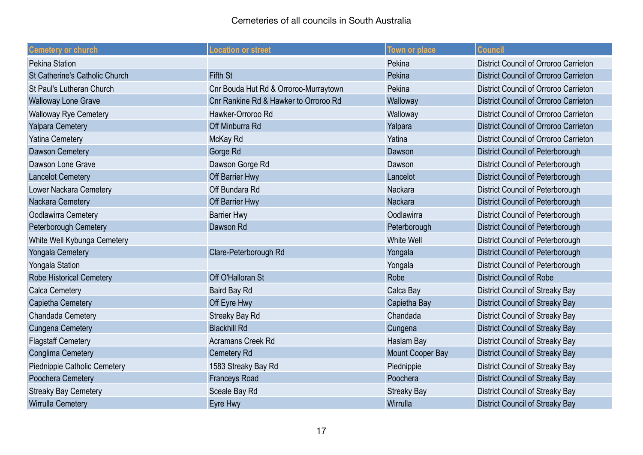| <b>Cemetery or church</b>        | <b>Location or street</b>             | <b>Town or place</b> | <b>Council</b>                          |
|----------------------------------|---------------------------------------|----------------------|-----------------------------------------|
| <b>Pekina Station</b>            |                                       | Pekina               | District Council of Orroroo Carrieton   |
| St Catherine's Catholic Church   | <b>Fifth St</b>                       | Pekina               | District Council of Orroroo Carrieton   |
| <b>St Paul's Lutheran Church</b> | Cnr Bouda Hut Rd & Orroroo-Murraytown | Pekina               | District Council of Orroroo Carrieton   |
| <b>Walloway Lone Grave</b>       | Cnr Rankine Rd & Hawker to Orroroo Rd | Walloway             | District Council of Orroroo Carrieton   |
| <b>Walloway Rye Cemetery</b>     | Hawker-Orroroo Rd                     | Walloway             | District Council of Orroroo Carrieton   |
| <b>Yalpara Cemetery</b>          | Off Minburra Rd                       | Yalpara              | District Council of Orroroo Carrieton   |
| <b>Yatina Cemetery</b>           | McKay Rd                              | Yatina               | District Council of Orroroo Carrieton   |
| <b>Dawson Cemetery</b>           | Gorge Rd                              | Dawson               | <b>District Council of Peterborough</b> |
| Dawson Lone Grave                | Dawson Gorge Rd                       | Dawson               | District Council of Peterborough        |
| <b>Lancelot Cemetery</b>         | Off Barrier Hwy                       | Lancelot             | <b>District Council of Peterborough</b> |
| Lower Nackara Cemetery           | Off Bundara Rd                        | Nackara              | District Council of Peterborough        |
| Nackara Cemetery                 | Off Barrier Hwy                       | <b>Nackara</b>       | <b>District Council of Peterborough</b> |
| Oodlawirra Cemetery              | <b>Barrier Hwy</b>                    | Oodlawirra           | District Council of Peterborough        |
| Peterborough Cemetery            | Dawson Rd                             | Peterborough         | <b>District Council of Peterborough</b> |
| White Well Kybunga Cemetery      |                                       | <b>White Well</b>    | District Council of Peterborough        |
| <b>Yongala Cemetery</b>          | Clare-Peterborough Rd                 | Yongala              | <b>District Council of Peterborough</b> |
| <b>Yongala Station</b>           |                                       | Yongala              | District Council of Peterborough        |
| <b>Robe Historical Cemetery</b>  | Off O'Halloran St                     | Robe                 | <b>District Council of Robe</b>         |
| <b>Calca Cemetery</b>            | <b>Baird Bay Rd</b>                   | Calca Bay            | <b>District Council of Streaky Bay</b>  |
| Capietha Cemetery                | Off Eyre Hwy                          | Capietha Bay         | <b>District Council of Streaky Bay</b>  |
| Chandada Cemetery                | <b>Streaky Bay Rd</b>                 | Chandada             | <b>District Council of Streaky Bay</b>  |
| <b>Cungena Cemetery</b>          | <b>Blackhill Rd</b>                   | Cungena              | <b>District Council of Streaky Bay</b>  |
| <b>Flagstaff Cemetery</b>        | <b>Acramans Creek Rd</b>              | Haslam Bay           | <b>District Council of Streaky Bay</b>  |
| <b>Conglima Cemetery</b>         | <b>Cemetery Rd</b>                    | Mount Cooper Bay     | <b>District Council of Streaky Bay</b>  |
| Piednippie Catholic Cemetery     | 1583 Streaky Bay Rd                   | Piednippie           | <b>District Council of Streaky Bay</b>  |
| Poochera Cemetery                | <b>Franceys Road</b>                  | Poochera             | <b>District Council of Streaky Bay</b>  |
| <b>Streaky Bay Cemetery</b>      | Sceale Bay Rd                         | <b>Streaky Bay</b>   | <b>District Council of Streaky Bay</b>  |
| <b>Wirrulla Cemetery</b>         | Eyre Hwy                              | Wirrulla             | <b>District Council of Streaky Bay</b>  |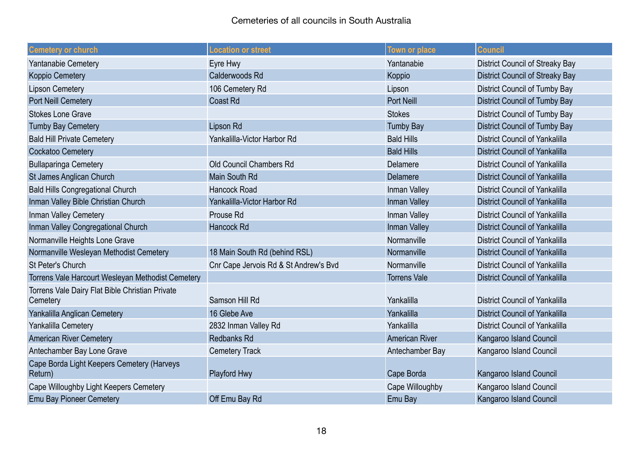| <b>Cemetery or church</b>                             | <b>Location or street</b>             | Town or place         | <b>Council</b>                         |
|-------------------------------------------------------|---------------------------------------|-----------------------|----------------------------------------|
| Yantanabie Cemetery                                   | Eyre Hwy                              | Yantanabie            | <b>District Council of Streaky Bay</b> |
| <b>Koppio Cemetery</b>                                | Calderwoods Rd                        | Koppio                | <b>District Council of Streaky Bay</b> |
| <b>Lipson Cemetery</b>                                | 106 Cemetery Rd                       | Lipson                | <b>District Council of Tumby Bay</b>   |
| Port Neill Cemetery                                   | <b>Coast Rd</b>                       | <b>Port Neill</b>     | <b>District Council of Tumby Bay</b>   |
| <b>Stokes Lone Grave</b>                              |                                       | <b>Stokes</b>         | District Council of Tumby Bay          |
| <b>Tumby Bay Cemetery</b>                             | Lipson Rd                             | <b>Tumby Bay</b>      | <b>District Council of Tumby Bay</b>   |
| <b>Bald Hill Private Cemetery</b>                     | Yankalilla-Victor Harbor Rd           | <b>Bald Hills</b>     | <b>District Council of Yankalilla</b>  |
| Cockatoo Cemetery                                     |                                       | <b>Bald Hills</b>     | <b>District Council of Yankalilla</b>  |
| <b>Bullaparinga Cemetery</b>                          | Old Council Chambers Rd               | <b>Delamere</b>       | <b>District Council of Yankalilla</b>  |
| <b>St James Anglican Church</b>                       | Main South Rd                         | Delamere              | <b>District Council of Yankalilla</b>  |
| <b>Bald Hills Congregational Church</b>               | <b>Hancock Road</b>                   | Inman Valley          | <b>District Council of Yankalilla</b>  |
| Inman Valley Bible Christian Church                   | Yankalilla-Victor Harbor Rd           | Inman Valley          | <b>District Council of Yankalilla</b>  |
| Inman Valley Cemetery                                 | Prouse Rd                             | Inman Valley          | <b>District Council of Yankalilla</b>  |
| Inman Valley Congregational Church                    | Hancock Rd                            | Inman Valley          | <b>District Council of Yankalilla</b>  |
| Normanville Heights Lone Grave                        |                                       | Normanville           | <b>District Council of Yankalilla</b>  |
| Normanville Wesleyan Methodist Cemetery               | 18 Main South Rd (behind RSL)         | Normanville           | <b>District Council of Yankalilla</b>  |
| St Peter's Church                                     | Cnr Cape Jervois Rd & St Andrew's Bvd | Normanville           | <b>District Council of Yankalilla</b>  |
| Torrens Vale Harcourt Wesleyan Methodist Cemetery     |                                       | <b>Torrens Vale</b>   | <b>District Council of Yankalilla</b>  |
| Torrens Vale Dairy Flat Bible Christian Private       |                                       |                       |                                        |
| Cemetery                                              | Samson Hill Rd                        | Yankalilla            | <b>District Council of Yankalilla</b>  |
| Yankalilla Anglican Cemetery                          | 16 Glebe Ave                          | Yankalilla            | <b>District Council of Yankalilla</b>  |
| Yankalilla Cemetery                                   | 2832 Inman Valley Rd                  | Yankalilla            | <b>District Council of Yankalilla</b>  |
| <b>American River Cemetery</b>                        | <b>Redbanks Rd</b>                    | <b>American River</b> | Kangaroo Island Council                |
| Antechamber Bay Lone Grave                            | <b>Cemetery Track</b>                 | Antechamber Bay       | Kangaroo Island Council                |
| Cape Borda Light Keepers Cemetery (Harveys<br>Return) | Playford Hwy                          | Cape Borda            | Kangaroo Island Council                |
| Cape Willoughby Light Keepers Cemetery                |                                       | Cape Willoughby       | Kangaroo Island Council                |
| <b>Emu Bay Pioneer Cemetery</b>                       | Off Emu Bay Rd                        | Emu Bay               | Kangaroo Island Council                |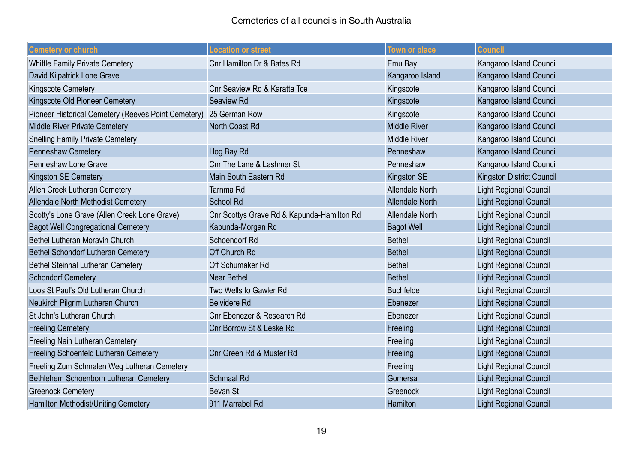| <b>Cemetery or church</b>                                         | <b>Location or street</b>                  | <b>Town or place</b>   | <b>Council</b>                   |
|-------------------------------------------------------------------|--------------------------------------------|------------------------|----------------------------------|
| <b>Whittle Family Private Cemetery</b>                            | Cnr Hamilton Dr & Bates Rd                 | Emu Bay                | Kangaroo Island Council          |
| David Kilpatrick Lone Grave                                       |                                            | Kangaroo Island        | Kangaroo Island Council          |
| Kingscote Cemetery                                                | Cnr Seaview Rd & Karatta Tce               | Kingscote              | Kangaroo Island Council          |
| Kingscote Old Pioneer Cemetery                                    | <b>Seaview Rd</b>                          | Kingscote              | Kangaroo Island Council          |
| Pioneer Historical Cemetery (Reeves Point Cemetery) 25 German Row |                                            | Kingscote              | Kangaroo Island Council          |
| <b>Middle River Private Cemetery</b>                              | North Coast Rd                             | <b>Middle River</b>    | Kangaroo Island Council          |
| <b>Snelling Family Private Cemetery</b>                           |                                            | <b>Middle River</b>    | Kangaroo Island Council          |
| Penneshaw Cemetery                                                | Hog Bay Rd                                 | Penneshaw              | Kangaroo Island Council          |
| Penneshaw Lone Grave                                              | Cnr The Lane & Lashmer St                  | Penneshaw              | Kangaroo Island Council          |
| Kingston SE Cemetery                                              | Main South Eastern Rd                      | <b>Kingston SE</b>     | <b>Kingston District Council</b> |
| Allen Creek Lutheran Cemetery                                     | Tarnma Rd                                  | <b>Allendale North</b> | Light Regional Council           |
| Allendale North Methodist Cemetery                                | <b>School Rd</b>                           | <b>Allendale North</b> | <b>Light Regional Council</b>    |
| Scotty's Lone Grave (Allen Creek Lone Grave)                      | Cnr Scottys Grave Rd & Kapunda-Hamilton Rd | <b>Allendale North</b> | <b>Light Regional Council</b>    |
| <b>Bagot Well Congregational Cemetery</b>                         | Kapunda-Morgan Rd                          | <b>Bagot Well</b>      | <b>Light Regional Council</b>    |
| Bethel Lutheran Moravin Church                                    | Schoendorf Rd                              | <b>Bethel</b>          | <b>Light Regional Council</b>    |
| <b>Bethel Schondorf Lutheran Cemetery</b>                         | Off Church Rd                              | <b>Bethel</b>          | <b>Light Regional Council</b>    |
| <b>Bethel Steinhal Lutheran Cemetery</b>                          | Off Schumaker Rd                           | <b>Bethel</b>          | <b>Light Regional Council</b>    |
| <b>Schondorf Cemetery</b>                                         | <b>Near Bethel</b>                         | <b>Bethel</b>          | <b>Light Regional Council</b>    |
| Loos St Paul's Old Lutheran Church                                | Two Wells to Gawler Rd                     | <b>Buchfelde</b>       | <b>Light Regional Council</b>    |
| Neukirch Pilgrim Lutheran Church                                  | <b>Belvidere Rd</b>                        | Ebenezer               | <b>Light Regional Council</b>    |
| St John's Lutheran Church                                         | Cnr Ebenezer & Research Rd                 | Ebenezer               | <b>Light Regional Council</b>    |
| <b>Freeling Cemetery</b>                                          | Cnr Borrow St & Leske Rd                   | Freeling               | <b>Light Regional Council</b>    |
| <b>Freeling Nain Lutheran Cemetery</b>                            |                                            | Freeling               | <b>Light Regional Council</b>    |
| Freeling Schoenfeld Lutheran Cemetery                             | Cnr Green Rd & Muster Rd                   | Freeling               | <b>Light Regional Council</b>    |
| Freeling Zum Schmalen Weg Lutheran Cemetery                       |                                            | Freeling               | Light Regional Council           |
| Bethlehem Schoenborn Lutheran Cemetery                            | <b>Schmaal Rd</b>                          | Gomersal               | <b>Light Regional Council</b>    |
| <b>Greenock Cemetery</b>                                          | <b>Bevan St</b>                            | Greenock               | <b>Light Regional Council</b>    |
| Hamilton Methodist/Uniting Cemetery                               | 911 Marrabel Rd                            | Hamilton               | <b>Light Regional Council</b>    |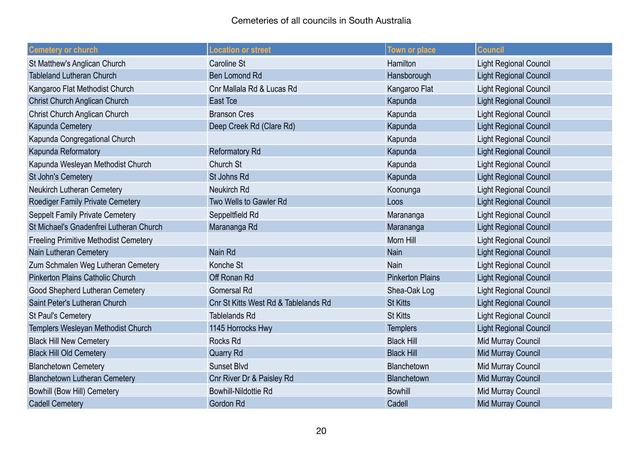| <b>Cemetery or church</b>                    | Location or street                   | <b>Town or place</b>    | <b>Council</b>                |
|----------------------------------------------|--------------------------------------|-------------------------|-------------------------------|
| St Matthew's Anglican Church                 | Caroline St                          | Hamilton                | Light Regional Council        |
| <b>Tableland Lutheran Church</b>             | <b>Ben Lomond Rd</b>                 | Hansborough             | <b>Light Regional Council</b> |
| Kangaroo Flat Methodist Church               | Cnr Mallala Rd & Lucas Rd            | Kangaroo Flat           | <b>Light Regional Council</b> |
| Christ Church Anglican Church                | <b>East Tce</b>                      | Kapunda                 | <b>Light Regional Council</b> |
| Christ Church Anglican Church                | <b>Branson Cres</b>                  | Kapunda                 | <b>Light Regional Council</b> |
| Kapunda Cemetery                             | Deep Creek Rd (Clare Rd)             | Kapunda                 | <b>Light Regional Council</b> |
| Kapunda Congregational Church                |                                      | Kapunda                 | <b>Light Regional Council</b> |
| Kapunda Reformatory                          | <b>Reformatory Rd</b>                | Kapunda                 | <b>Light Regional Council</b> |
| Kapunda Wesleyan Methodist Church            | Church St                            | Kapunda                 | <b>Light Regional Council</b> |
| <b>St John's Cemetery</b>                    | St Johns Rd                          | Kapunda                 | <b>Light Regional Council</b> |
| Neukirch Lutheran Cemetery                   | Neukirch Rd                          | Koonunga                | <b>Light Regional Council</b> |
| Roediger Family Private Cemetery             | Two Wells to Gawler Rd               | Loos                    | <b>Light Regional Council</b> |
| <b>Seppelt Family Private Cemetery</b>       | Seppeltfield Rd                      | Marananga               | <b>Light Regional Council</b> |
| St Michael's Gnadenfrei Lutheran Church      | Marananga Rd                         | Marananga               | <b>Light Regional Council</b> |
| <b>Freeling Primitive Methodist Cemetery</b> |                                      | <b>Morn Hill</b>        | <b>Light Regional Council</b> |
| Nain Lutheran Cemetery                       | Nain Rd                              | Nain                    | <b>Light Regional Council</b> |
| Zum Schmalen Weg Lutheran Cemetery           | Konche St                            | Nain                    | <b>Light Regional Council</b> |
| <b>Pinkerton Plains Catholic Church</b>      | Off Ronan Rd                         | <b>Pinkerton Plains</b> | <b>Light Regional Council</b> |
| Good Shepherd Lutheran Cemetery              | <b>Gomersal Rd</b>                   | Shea-Oak Log            | <b>Light Regional Council</b> |
| Saint Peter's Lutheran Church                | Cnr St Kitts West Rd & Tablelands Rd | <b>St Kitts</b>         | <b>Light Regional Council</b> |
| <b>St Paul's Cemetery</b>                    | <b>Tablelands Rd</b>                 | <b>St Kitts</b>         | <b>Light Regional Council</b> |
| Templers Wesleyan Methodist Church           | 1145 Horrocks Hwy                    | <b>Templers</b>         | <b>Light Regional Council</b> |
| <b>Black Hill New Cemetery</b>               | <b>Rocks Rd</b>                      | <b>Black Hill</b>       | Mid Murray Council            |
| <b>Black Hill Old Cemetery</b>               | <b>Quarry Rd</b>                     | <b>Black Hill</b>       | <b>Mid Murray Council</b>     |
| <b>Blanchetown Cemetery</b>                  | Sunset Blvd                          | Blanchetown             | Mid Murray Council            |
| <b>Blanchetown Lutheran Cemetery</b>         | Cnr River Dr & Paisley Rd            | Blanchetown             | Mid Murray Council            |
| <b>Bowhill (Bow Hill) Cemetery</b>           | <b>Bowhill-Nildottie Rd</b>          | <b>Bowhill</b>          | Mid Murray Council            |
| <b>Cadell Cemetery</b>                       | Gordon Rd                            | Cadell                  | Mid Murray Council            |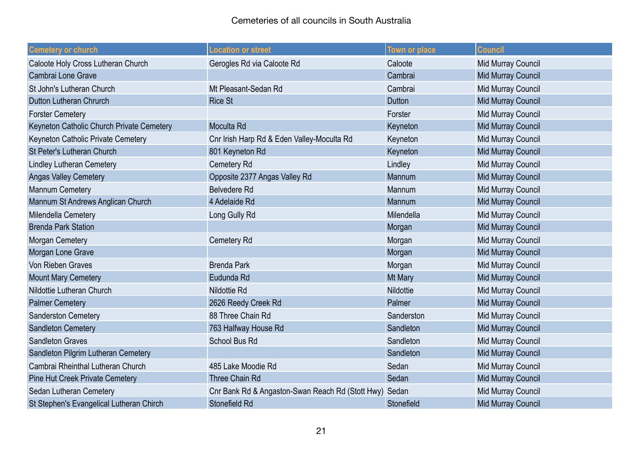| <b>Cemetery or church</b>                 | Location or street                                     | <b>Town or place</b> | <b>Council</b>            |
|-------------------------------------------|--------------------------------------------------------|----------------------|---------------------------|
| Caloote Holy Cross Lutheran Church        | Gerogles Rd via Caloote Rd                             | Caloote              | Mid Murray Council        |
| Cambrai Lone Grave                        |                                                        | Cambrai              | <b>Mid Murray Council</b> |
| St John's Lutheran Church                 | Mt Pleasant-Sedan Rd                                   | Cambrai              | Mid Murray Council        |
| Dutton Lutheran Chrurch                   | <b>Rice St</b>                                         | <b>Dutton</b>        | Mid Murray Council        |
| <b>Forster Cemetery</b>                   |                                                        | Forster              | Mid Murray Council        |
| Keyneton Catholic Church Private Cemetery | Moculta Rd                                             | Keyneton             | <b>Mid Murray Council</b> |
| Keyneton Catholic Private Cemetery        | Cnr Irish Harp Rd & Eden Valley-Moculta Rd             | Keyneton             | Mid Murray Council        |
| <b>St Peter's Lutheran Church</b>         | 801 Keyneton Rd                                        | Keyneton             | Mid Murray Council        |
| <b>Lindley Lutheran Cemetery</b>          | Cemetery Rd                                            | Lindley              | Mid Murray Council        |
| <b>Angas Valley Cemetery</b>              | Opposite 2377 Angas Valley Rd                          | Mannum               | Mid Murray Council        |
| Mannum Cemetery                           | <b>Belvedere Rd</b>                                    | Mannum               | Mid Murray Council        |
| Mannum St Andrews Anglican Church         | 4 Adelaide Rd                                          | Mannum               | Mid Murray Council        |
| Milendella Cemetery                       | Long Gully Rd                                          | Milendella           | Mid Murray Council        |
| <b>Brenda Park Station</b>                |                                                        | Morgan               | Mid Murray Council        |
| Morgan Cemetery                           | Cemetery Rd                                            | Morgan               | Mid Murray Council        |
| Morgan Lone Grave                         |                                                        | Morgan               | <b>Mid Murray Council</b> |
| Von Rieben Graves                         | <b>Brenda Park</b>                                     | Morgan               | Mid Murray Council        |
| <b>Mount Mary Cemetery</b>                | Eudunda Rd                                             | Mt Mary              | <b>Mid Murray Council</b> |
| Nildottie Lutheran Church                 | <b>Nildottie Rd</b>                                    | Nildottie            | Mid Murray Council        |
| <b>Palmer Cemetery</b>                    | 2626 Reedy Creek Rd                                    | Palmer               | Mid Murray Council        |
| <b>Sanderston Cemetery</b>                | 88 Three Chain Rd                                      | Sanderston           | Mid Murray Council        |
| <b>Sandleton Cemetery</b>                 | 763 Halfway House Rd                                   | Sandleton            | Mid Murray Council        |
| <b>Sandleton Graves</b>                   | School Bus Rd                                          | Sandleton            | Mid Murray Council        |
| Sandleton Pilgrim Lutheran Cemetery       |                                                        | Sandleton            | Mid Murray Council        |
| Cambrai Rheinthal Lutheran Church         | 485 Lake Moodie Rd                                     | Sedan                | Mid Murray Council        |
| <b>Pine Hut Creek Private Cemetery</b>    | Three Chain Rd                                         | Sedan                | Mid Murray Council        |
| Sedan Lutheran Cemetery                   | Cnr Bank Rd & Angaston-Swan Reach Rd (Stott Hwy) Sedan |                      | Mid Murray Council        |
| St Stephen's Evangelical Lutheran Chirch  | Stonefield Rd                                          | Stonefield           | <b>Mid Murray Council</b> |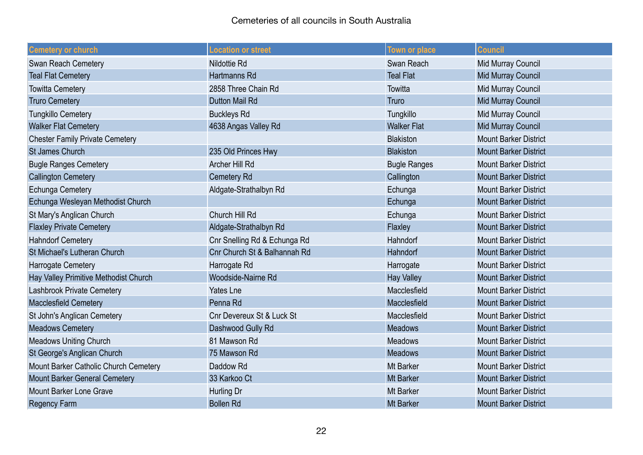| <b>Cemetery or church</b>              | <b>Location or street</b>            | <b>Town or place</b> | <b>Council</b>               |
|----------------------------------------|--------------------------------------|----------------------|------------------------------|
| Swan Reach Cemetery                    | <b>Nildottie Rd</b>                  | Swan Reach           | Mid Murray Council           |
| <b>Teal Flat Cemetery</b>              | Hartmanns Rd                         | <b>Teal Flat</b>     | <b>Mid Murray Council</b>    |
| <b>Towitta Cemetery</b>                | 2858 Three Chain Rd                  | Towitta              | Mid Murray Council           |
| <b>Truro Cemetery</b>                  | Dutton Mail Rd                       | Truro                | <b>Mid Murray Council</b>    |
| <b>Tungkillo Cemetery</b>              | <b>Buckleys Rd</b>                   | Tungkillo            | Mid Murray Council           |
| <b>Walker Flat Cemetery</b>            | 4638 Angas Valley Rd                 | <b>Walker Flat</b>   | Mid Murray Council           |
| <b>Chester Family Private Cemetery</b> |                                      | <b>Blakiston</b>     | <b>Mount Barker District</b> |
| <b>St James Church</b>                 | 235 Old Princes Hwy                  | <b>Blakiston</b>     | <b>Mount Barker District</b> |
| <b>Bugle Ranges Cemetery</b>           | Archer Hill Rd                       | <b>Bugle Ranges</b>  | <b>Mount Barker District</b> |
| <b>Callington Cemetery</b>             | Cemetery Rd                          | Callington           | <b>Mount Barker District</b> |
| <b>Echunga Cemetery</b>                | Aldgate-Strathalbyn Rd               | Echunga              | <b>Mount Barker District</b> |
| Echunga Wesleyan Methodist Church      |                                      | Echunga              | <b>Mount Barker District</b> |
| St Mary's Anglican Church              | Church Hill Rd                       | Echunga              | <b>Mount Barker District</b> |
| <b>Flaxley Private Cemetery</b>        | Aldgate-Strathalbyn Rd               | Flaxley              | <b>Mount Barker District</b> |
| <b>Hahndorf Cemetery</b>               | Cnr Snelling Rd & Echunga Rd         | Hahndorf             | <b>Mount Barker District</b> |
| <b>St Michael's Lutheran Church</b>    | Cnr Church St & Balhannah Rd         | Hahndorf             | <b>Mount Barker District</b> |
| Harrogate Cemetery                     | Harrogate Rd                         | Harrogate            | <b>Mount Barker District</b> |
| Hay Valley Primitive Methodist Church  | Woodside-Nairne Rd                   | <b>Hay Valley</b>    | <b>Mount Barker District</b> |
| Lashbrook Private Cemetery             | Yates Lne                            | Macclesfield         | <b>Mount Barker District</b> |
| <b>Macclesfield Cemetery</b>           | Penna Rd                             | Macclesfield         | <b>Mount Barker District</b> |
| <b>St John's Anglican Cemetery</b>     | <b>Cnr Devereux St &amp; Luck St</b> | Macclesfield         | <b>Mount Barker District</b> |
| <b>Meadows Cemetery</b>                | Dashwood Gully Rd                    | <b>Meadows</b>       | <b>Mount Barker District</b> |
| <b>Meadows Uniting Church</b>          | 81 Mawson Rd                         | <b>Meadows</b>       | <b>Mount Barker District</b> |
| St George's Anglican Church            | 75 Mawson Rd                         | <b>Meadows</b>       | <b>Mount Barker District</b> |
| Mount Barker Catholic Church Cemetery  | Daddow Rd                            | <b>Mt Barker</b>     | <b>Mount Barker District</b> |
| <b>Mount Barker General Cemetery</b>   | 33 Karkoo Ct                         | <b>Mt Barker</b>     | <b>Mount Barker District</b> |
| <b>Mount Barker Lone Grave</b>         | Hurling Dr                           | <b>Mt Barker</b>     | <b>Mount Barker District</b> |
| <b>Regency Farm</b>                    | <b>Bollen Rd</b>                     | <b>Mt Barker</b>     | <b>Mount Barker District</b> |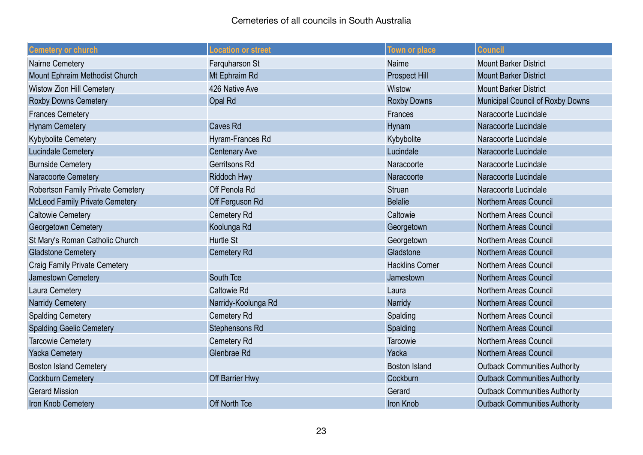| <b>Cemetery or church</b>             | <b>Location or street</b> | Town or place          | <b>Council</b>                       |
|---------------------------------------|---------------------------|------------------------|--------------------------------------|
| <b>Nairne Cemetery</b>                | Farquharson St            | <b>Nairne</b>          | <b>Mount Barker District</b>         |
| Mount Ephraim Methodist Church        | Mt Ephraim Rd             | <b>Prospect Hill</b>   | <b>Mount Barker District</b>         |
| <b>Wistow Zion Hill Cemetery</b>      | 426 Native Ave            | Wistow                 | <b>Mount Barker District</b>         |
| <b>Roxby Downs Cemetery</b>           | Opal Rd                   | <b>Roxby Downs</b>     | Municipal Council of Roxby Downs     |
| <b>Frances Cemetery</b>               |                           | Frances                | Naracoorte Lucindale                 |
| <b>Hynam Cemetery</b>                 | <b>Caves Rd</b>           | Hynam                  | Naracoorte Lucindale                 |
| Kybybolite Cemetery                   | Hyram-Frances Rd          | Kybybolite             | Naracoorte Lucindale                 |
| Lucindale Cemetery                    | <b>Centenary Ave</b>      | Lucindale              | Naracoorte Lucindale                 |
| <b>Burnside Cemetery</b>              | Gerritsons Rd             | Naracoorte             | Naracoorte Lucindale                 |
| Naracoorte Cemetery                   | Riddoch Hwy               | Naracoorte             | Naracoorte Lucindale                 |
| Robertson Family Private Cemetery     | Off Penola Rd             | <b>Struan</b>          | Naracoorte Lucindale                 |
| <b>McLeod Family Private Cemetery</b> | Off Ferguson Rd           | <b>Belalie</b>         | <b>Northern Areas Council</b>        |
| <b>Caltowie Cemetery</b>              | Cemetery Rd               | Caltowie               | <b>Northern Areas Council</b>        |
| Georgetown Cemetery                   | Koolunga Rd               | Georgetown             | <b>Northern Areas Council</b>        |
| St Mary's Roman Catholic Church       | Hurtle St                 | Georgetown             | <b>Northern Areas Council</b>        |
| <b>Gladstone Cemetery</b>             | <b>Cemetery Rd</b>        | Gladstone              | <b>Northern Areas Council</b>        |
| <b>Craig Family Private Cemetery</b>  |                           | <b>Hacklins Corner</b> | Northern Areas Council               |
| Jamestown Cemetery                    | South Tce                 | Jamestown              | <b>Northern Areas Council</b>        |
| Laura Cemetery                        | <b>Caltowie Rd</b>        | Laura                  | <b>Northern Areas Council</b>        |
| <b>Narridy Cemetery</b>               | Narridy-Koolunga Rd       | Narridy                | <b>Northern Areas Council</b>        |
| <b>Spalding Cemetery</b>              | Cemetery Rd               | Spalding               | <b>Northern Areas Council</b>        |
| <b>Spalding Gaelic Cemetery</b>       | Stephensons Rd            | Spalding               | <b>Northern Areas Council</b>        |
| <b>Tarcowie Cemetery</b>              | Cemetery Rd               | Tarcowie               | <b>Northern Areas Council</b>        |
| <b>Yacka Cemetery</b>                 | Glenbrae Rd               | Yacka                  | <b>Northern Areas Council</b>        |
| <b>Boston Island Cemetery</b>         |                           | <b>Boston Island</b>   | <b>Outback Communities Authority</b> |
| <b>Cockburn Cemetery</b>              | Off Barrier Hwy           | Cockburn               | <b>Outback Communities Authority</b> |
| <b>Gerard Mission</b>                 |                           | Gerard                 | <b>Outback Communities Authority</b> |
| Iron Knob Cemetery                    | Off North Tce             | Iron Knob              | <b>Outback Communities Authority</b> |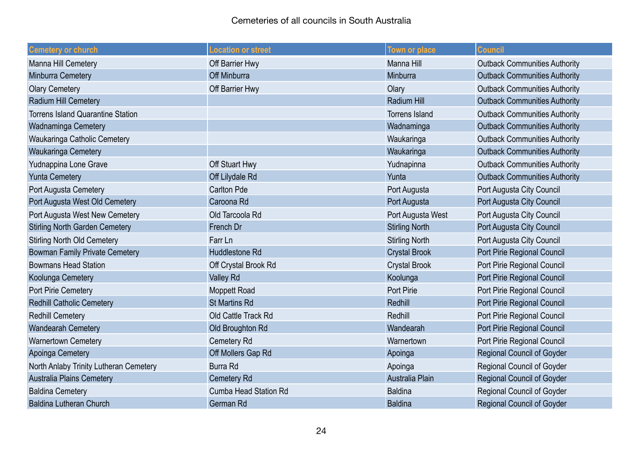| <b>Cemetery or church</b>                | <b>Location or street</b>    | <b>Town or place</b>  | <b>Council</b>                       |
|------------------------------------------|------------------------------|-----------------------|--------------------------------------|
| <b>Manna Hill Cemetery</b>               | Off Barrier Hwy              | <b>Manna Hill</b>     | <b>Outback Communities Authority</b> |
| Minburra Cemetery                        | Off Minburra                 | Minburra              | <b>Outback Communities Authority</b> |
| <b>Olary Cemetery</b>                    | Off Barrier Hwy              | Olary                 | <b>Outback Communities Authority</b> |
| Radium Hill Cemetery                     |                              | <b>Radium Hill</b>    | <b>Outback Communities Authority</b> |
| <b>Torrens Island Quarantine Station</b> |                              | <b>Torrens Island</b> | <b>Outback Communities Authority</b> |
| Wadnaminga Cemetery                      |                              | Wadnaminga            | <b>Outback Communities Authority</b> |
| Waukaringa Catholic Cemetery             |                              | Waukaringa            | <b>Outback Communities Authority</b> |
| Waukaringa Cemetery                      |                              | Waukaringa            | <b>Outback Communities Authority</b> |
| Yudnappina Lone Grave                    | Off Stuart Hwy               | Yudnapinna            | <b>Outback Communities Authority</b> |
| <b>Yunta Cemetery</b>                    | Off Lilydale Rd              | Yunta                 | <b>Outback Communities Authority</b> |
| Port Augusta Cemetery                    | <b>Carlton Pde</b>           | Port Augusta          | Port Augusta City Council            |
| Port Augusta West Old Cemetery           | Caroona Rd                   | Port Augusta          | Port Augusta City Council            |
| Port Augusta West New Cemetery           | Old Tarcoola Rd              | Port Augusta West     | Port Augusta City Council            |
| <b>Stirling North Garden Cemetery</b>    | French Dr                    | <b>Stirling North</b> | Port Augusta City Council            |
| <b>Stirling North Old Cemetery</b>       | Farr Ln                      | <b>Stirling North</b> | Port Augusta City Council            |
| <b>Bowman Family Private Cemetery</b>    | Huddlestone Rd               | <b>Crystal Brook</b>  | Port Pirie Regional Council          |
| <b>Bowmans Head Station</b>              | Off Crystal Brook Rd         | <b>Crystal Brook</b>  | Port Pirie Regional Council          |
| Koolunga Cemetery                        | <b>Valley Rd</b>             | Koolunga              | Port Pirie Regional Council          |
| Port Pirie Cemetery                      | <b>Moppett Road</b>          | <b>Port Pirie</b>     | Port Pirie Regional Council          |
| <b>Redhill Catholic Cemetery</b>         | <b>St Martins Rd</b>         | Redhill               | Port Pirie Regional Council          |
| <b>Redhill Cemetery</b>                  | Old Cattle Track Rd          | Redhill               | Port Pirie Regional Council          |
| <b>Wandearah Cemetery</b>                | Old Broughton Rd             | Wandearah             | Port Pirie Regional Council          |
| <b>Warnertown Cemetery</b>               | <b>Cemetery Rd</b>           | Warnertown            | Port Pirie Regional Council          |
| Apoinga Cemetery                         | Off Mollers Gap Rd           | Apoinga               | <b>Regional Council of Goyder</b>    |
| North Anlaby Trinity Lutheran Cemetery   | <b>Burra Rd</b>              | Apoinga               | <b>Regional Council of Goyder</b>    |
| <b>Australia Plains Cemetery</b>         | <b>Cemetery Rd</b>           | Australia Plain       | <b>Regional Council of Goyder</b>    |
| <b>Baldina Cemetery</b>                  | <b>Cumba Head Station Rd</b> | <b>Baldina</b>        | Regional Council of Goyder           |
| <b>Baldina Lutheran Church</b>           | <b>German Rd</b>             | <b>Baldina</b>        | <b>Regional Council of Goyder</b>    |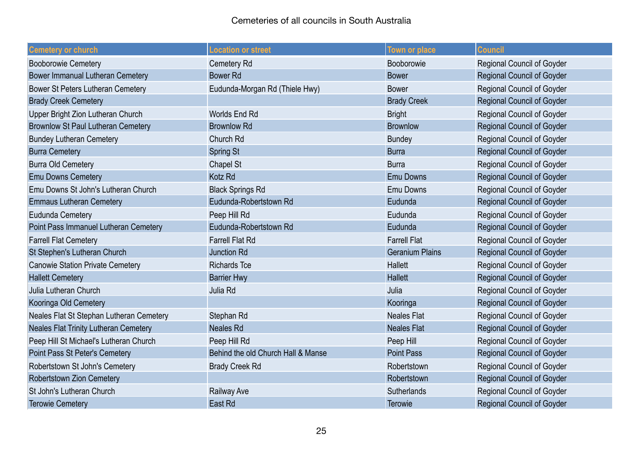| <b>Cemetery or church</b>                    | <b>Location or street</b>          | <b>Town or place</b>   | <b>Council</b>                    |
|----------------------------------------------|------------------------------------|------------------------|-----------------------------------|
| <b>Booborowie Cemetery</b>                   | Cemetery Rd                        | Booborowie             | Regional Council of Goyder        |
| Bower Immanual Lutheran Cemetery             | <b>Bower Rd</b>                    | <b>Bower</b>           | Regional Council of Goyder        |
| Bower St Peters Lutheran Cemetery            | Eudunda-Morgan Rd (Thiele Hwy)     | <b>Bower</b>           | Regional Council of Goyder        |
| <b>Brady Creek Cemetery</b>                  |                                    | <b>Brady Creek</b>     | <b>Regional Council of Goyder</b> |
| Upper Bright Zion Lutheran Church            | Worlds End Rd                      | <b>Bright</b>          | <b>Regional Council of Goyder</b> |
| <b>Brownlow St Paul Lutheran Cemetery</b>    | <b>Brownlow Rd</b>                 | <b>Brownlow</b>        | Regional Council of Goyder        |
| <b>Bundey Lutheran Cemetery</b>              | Church Rd                          | <b>Bundey</b>          | Regional Council of Goyder        |
| <b>Burra Cemetery</b>                        | <b>Spring St</b>                   | <b>Burra</b>           | Regional Council of Goyder        |
| <b>Burra Old Cemetery</b>                    | Chapel St                          | <b>Burra</b>           | <b>Regional Council of Goyder</b> |
| <b>Emu Downs Cemetery</b>                    | Kotz Rd                            | <b>Emu Downs</b>       | Regional Council of Goyder        |
| Emu Downs St John's Lutheran Church          | <b>Black Springs Rd</b>            | <b>Emu Downs</b>       | <b>Regional Council of Goyder</b> |
| <b>Emmaus Lutheran Cemetery</b>              | Eudunda-Robertstown Rd             | Eudunda                | <b>Regional Council of Goyder</b> |
| Eudunda Cemetery                             | Peep Hill Rd                       | Eudunda                | Regional Council of Goyder        |
| Point Pass Immanuel Lutheran Cemetery        | Eudunda-Robertstown Rd             | Eudunda                | Regional Council of Goyder        |
| <b>Farrell Flat Cemetery</b>                 | <b>Farrell Flat Rd</b>             | <b>Farrell Flat</b>    | Regional Council of Goyder        |
| St Stephen's Lutheran Church                 | <b>Junction Rd</b>                 | <b>Geranium Plains</b> | <b>Regional Council of Goyder</b> |
| <b>Canowie Station Private Cemetery</b>      | <b>Richards Tce</b>                | <b>Hallett</b>         | <b>Regional Council of Goyder</b> |
| <b>Hallett Cemetery</b>                      | <b>Barrier Hwy</b>                 | <b>Hallett</b>         | <b>Regional Council of Goyder</b> |
| Julia Lutheran Church                        | Julia Rd                           | Julia                  | Regional Council of Goyder        |
| Kooringa Old Cemetery                        |                                    | Kooringa               | Regional Council of Goyder        |
| Neales Flat St Stephan Lutheran Cemetery     | Stephan Rd                         | <b>Neales Flat</b>     | <b>Regional Council of Goyder</b> |
| <b>Neales Flat Trinity Lutheran Cemetery</b> | <b>Neales Rd</b>                   | <b>Neales Flat</b>     | Regional Council of Goyder        |
| Peep Hill St Michael's Lutheran Church       | Peep Hill Rd                       | Peep Hill              | Regional Council of Goyder        |
| Point Pass St Peter's Cemetery               | Behind the old Church Hall & Manse | <b>Point Pass</b>      | <b>Regional Council of Goyder</b> |
| Robertstown St John's Cemetery               | <b>Brady Creek Rd</b>              | Robertstown            | <b>Regional Council of Goyder</b> |
| <b>Robertstown Zion Cemetery</b>             |                                    | Robertstown            | Regional Council of Goyder        |
| St John's Lutheran Church                    | Railway Ave                        | Sutherlands            | <b>Regional Council of Goyder</b> |
| <b>Terowie Cemetery</b>                      | East Rd                            | Terowie                | <b>Regional Council of Goyder</b> |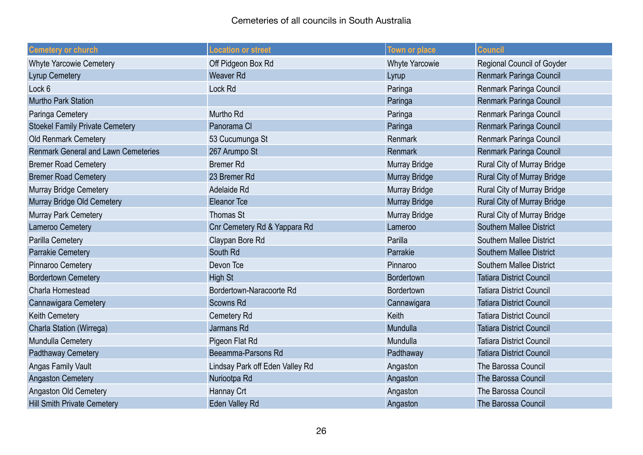| <b>Cemetery or church</b>                  | <b>Location or street</b>       | Town or place         | <b>Council</b>                     |
|--------------------------------------------|---------------------------------|-----------------------|------------------------------------|
| <b>Whyte Yarcowie Cemetery</b>             | Off Pidgeon Box Rd              | <b>Whyte Yarcowie</b> | <b>Regional Council of Goyder</b>  |
| <b>Lyrup Cemetery</b>                      | <b>Weaver Rd</b>                | Lyrup                 | <b>Renmark Paringa Council</b>     |
| Lock 6                                     | Lock Rd                         | Paringa               | Renmark Paringa Council            |
| <b>Murtho Park Station</b>                 |                                 | Paringa               | Renmark Paringa Council            |
| Paringa Cemetery                           | Murtho Rd                       | Paringa               | Renmark Paringa Council            |
| <b>Stoekel Family Private Cemetery</b>     | Panorama Cl                     | Paringa               | Renmark Paringa Council            |
| Old Renmark Cemetery                       | 53 Cucumunga St                 | Renmark               | Renmark Paringa Council            |
| <b>Renmark General and Lawn Cemeteries</b> | 267 Arumpo St                   | Renmark               | Renmark Paringa Council            |
| <b>Bremer Road Cemetery</b>                | <b>Bremer Rd</b>                | <b>Murray Bridge</b>  | Rural City of Murray Bridge        |
| <b>Bremer Road Cemetery</b>                | 23 Bremer Rd                    | <b>Murray Bridge</b>  | <b>Rural City of Murray Bridge</b> |
| <b>Murray Bridge Cemetery</b>              | Adelaide Rd                     | <b>Murray Bridge</b>  | Rural City of Murray Bridge        |
| Murray Bridge Old Cemetery                 | <b>Eleanor Tce</b>              | <b>Murray Bridge</b>  | Rural City of Murray Bridge        |
| <b>Murray Park Cemetery</b>                | <b>Thomas St</b>                | Murray Bridge         | Rural City of Murray Bridge        |
| Lameroo Cemetery                           | Cnr Cemetery Rd & Yappara Rd    | Lameroo               | <b>Southern Mallee District</b>    |
| Parilla Cemetery                           | Claypan Bore Rd                 | Parilla               | <b>Southern Mallee District</b>    |
| <b>Parrakie Cemetery</b>                   | South Rd                        | Parrakie              | <b>Southern Mallee District</b>    |
| Pinnaroo Cemetery                          | Devon Tce                       | Pinnaroo              | <b>Southern Mallee District</b>    |
| <b>Bordertown Cemetery</b>                 | <b>High St</b>                  | Bordertown            | <b>Tatiara District Council</b>    |
| Charla Homestead                           | Bordertown-Naracoorte Rd        | Bordertown            | <b>Tatiara District Council</b>    |
| Cannawigara Cemetery                       | <b>Scowns Rd</b>                | Cannawigara           | <b>Tatiara District Council</b>    |
| <b>Keith Cemetery</b>                      | Cemetery Rd                     | Keith                 | <b>Tatiara District Council</b>    |
| Charla Station (Wirrega)                   | Jarmans Rd                      | Mundulla              | <b>Tatiara District Council</b>    |
| Mundulla Cemetery                          | Pigeon Flat Rd                  | Mundulla              | <b>Tatiara District Council</b>    |
| Padthaway Cemetery                         | Beeamma-Parsons Rd              | Padthaway             | <b>Tatiara District Council</b>    |
| <b>Angas Family Vault</b>                  | Lindsay Park off Eden Valley Rd | Angaston              | The Barossa Council                |
| <b>Angaston Cemetery</b>                   | Nuriootpa Rd                    | Angaston              | The Barossa Council                |
| Angaston Old Cemetery                      | Hannay Crt                      | Angaston              | The Barossa Council                |
| <b>Hill Smith Private Cemetery</b>         | Eden Valley Rd                  | Angaston              | The Barossa Council                |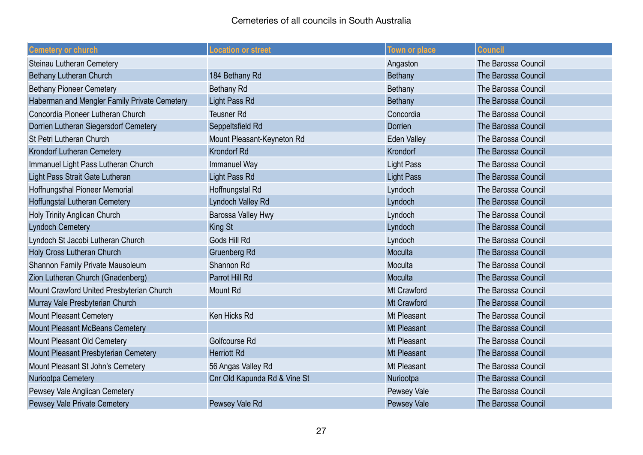| <b>Cemetery or church</b>                    | <b>Location or street</b>    | <b>Town or place</b> | <b>Council</b>      |
|----------------------------------------------|------------------------------|----------------------|---------------------|
| Steinau Lutheran Cemetery                    |                              | Angaston             | The Barossa Council |
| Bethany Lutheran Church                      | 184 Bethany Rd               | Bethany              | The Barossa Council |
| <b>Bethany Pioneer Cemetery</b>              | <b>Bethany Rd</b>            | Bethany              | The Barossa Council |
| Haberman and Mengler Family Private Cemetery | Light Pass Rd                | <b>Bethany</b>       | The Barossa Council |
| Concordia Pioneer Lutheran Church            | <b>Teusner Rd</b>            | Concordia            | The Barossa Council |
| Dorrien Lutheran Siegersdorf Cemetery        | Seppeltsfield Rd             | Dorrien              | The Barossa Council |
| St Petri Lutheran Church                     | Mount Pleasant-Keyneton Rd   | <b>Eden Valley</b>   | The Barossa Council |
| Krondorf Lutheran Cemetery                   | <b>Krondorf Rd</b>           | Krondorf             | The Barossa Council |
| Immanuel Light Pass Lutheran Church          | Immanuel Way                 | <b>Light Pass</b>    | The Barossa Council |
| Light Pass Strait Gate Lutheran              | Light Pass Rd                | <b>Light Pass</b>    | The Barossa Council |
| Hoffnungsthal Pioneer Memorial               | Hoffnungstal Rd              | Lyndoch              | The Barossa Council |
| Hoffungstal Lutheran Cemetery                | <b>Lyndoch Valley Rd</b>     | Lyndoch              | The Barossa Council |
| Holy Trinity Anglican Church                 | Barossa Valley Hwy           | Lyndoch              | The Barossa Council |
| <b>Lyndoch Cemetery</b>                      | King St                      | Lyndoch              | The Barossa Council |
| Lyndoch St Jacobi Lutheran Church            | Gods Hill Rd                 | Lyndoch              | The Barossa Council |
| Holy Cross Lutheran Church                   | <b>Gruenberg Rd</b>          | Moculta              | The Barossa Council |
| Shannon Family Private Mausoleum             | Shannon Rd                   | Moculta              | The Barossa Council |
| Zion Lutheran Church (Gnadenberg)            | Parrot Hill Rd               | Moculta              | The Barossa Council |
| Mount Crawford United Presbyterian Church    | <b>Mount Rd</b>              | Mt Crawford          | The Barossa Council |
| Murray Vale Presbyterian Church              |                              | <b>Mt Crawford</b>   | The Barossa Council |
| <b>Mount Pleasant Cemetery</b>               | Ken Hicks Rd                 | Mt Pleasant          | The Barossa Council |
| Mount Pleasant McBeans Cemetery              |                              | <b>Mt Pleasant</b>   | The Barossa Council |
| Mount Pleasant Old Cemetery                  | Golfcourse Rd                | Mt Pleasant          | The Barossa Council |
| Mount Pleasant Presbyterian Cemetery         | <b>Herriott Rd</b>           | Mt Pleasant          | The Barossa Council |
| Mount Pleasant St John's Cemetery            | 56 Angas Valley Rd           | Mt Pleasant          | The Barossa Council |
| Nuriootpa Cemetery                           | Cnr Old Kapunda Rd & Vine St | Nuriootpa            | The Barossa Council |
| Pewsey Vale Anglican Cemetery                |                              | Pewsey Vale          | The Barossa Council |
| Pewsey Vale Private Cemetery                 | Pewsey Vale Rd               | Pewsey Vale          | The Barossa Council |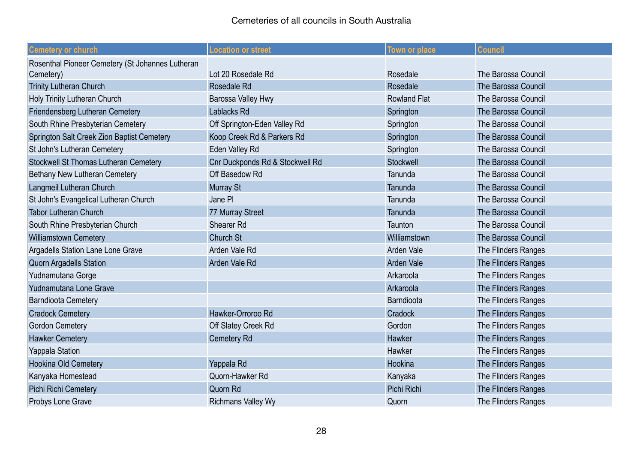| <b>Cemetery or church</b>                        | <b>Location or street</b>       | <b>Town or place</b> | <b>Council</b>             |
|--------------------------------------------------|---------------------------------|----------------------|----------------------------|
| Rosenthal Pioneer Cemetery (St Johannes Lutheran |                                 |                      |                            |
| Cemetery)                                        | Lot 20 Rosedale Rd              | Rosedale             | The Barossa Council        |
| <b>Trinity Lutheran Church</b>                   | Rosedale Rd                     | Rosedale             | The Barossa Council        |
| Holy Trinity Lutheran Church                     | Barossa Valley Hwy              | <b>Rowland Flat</b>  | <b>The Barossa Council</b> |
| Friendensberg Lutheran Cemetery                  | Lablacks Rd                     | Springton            | The Barossa Council        |
| South Rhine Presbyterian Cemetery                | Off Springton-Eden Valley Rd    | Springton            | The Barossa Council        |
| Springton Salt Creek Zion Baptist Cemetery       | Koop Creek Rd & Parkers Rd      | Springton            | The Barossa Council        |
| St John's Lutheran Cemetery                      | Eden Valley Rd                  | Springton            | <b>The Barossa Council</b> |
| <b>Stockwell St Thomas Lutheran Cemetery</b>     | Cnr Duckponds Rd & Stockwell Rd | Stockwell            | The Barossa Council        |
| Bethany New Lutheran Cemetery                    | Off Basedow Rd                  | Tanunda              | The Barossa Council        |
| Langmeil Lutheran Church                         | Murray St                       | Tanunda              | The Barossa Council        |
| St John's Evangelical Lutheran Church            | Jane PI                         | Tanunda              | The Barossa Council        |
| <b>Tabor Lutheran Church</b>                     | 77 Murray Street                | Tanunda              | The Barossa Council        |
| South Rhine Presbyterian Church                  | Shearer Rd                      | Taunton              | The Barossa Council        |
| <b>Williamstown Cemetery</b>                     | Church St                       | Williamstown         | The Barossa Council        |
| Argadells Station Lane Lone Grave                | Arden Vale Rd                   | <b>Arden Vale</b>    | The Flinders Ranges        |
| <b>Quorn Argadells Station</b>                   | Arden Vale Rd                   | <b>Arden Vale</b>    | The Flinders Ranges        |
| Yudnamutana Gorge                                |                                 | Arkaroola            | The Flinders Ranges        |
| Yudnamutana Lone Grave                           |                                 | Arkaroola            | The Flinders Ranges        |
| <b>Barndioota Cemetery</b>                       |                                 | Barndioota           | The Flinders Ranges        |
| <b>Cradock Cemetery</b>                          | Hawker-Orroroo Rd               | Cradock              | The Flinders Ranges        |
| <b>Gordon Cemetery</b>                           | Off Slatey Creek Rd             | Gordon               | The Flinders Ranges        |
| <b>Hawker Cemetery</b>                           | Cemetery Rd                     | Hawker               | The Flinders Ranges        |
| <b>Yappala Station</b>                           |                                 | Hawker               | The Flinders Ranges        |
| <b>Hookina Old Cemetery</b>                      | Yappala Rd                      | Hookina              | The Flinders Ranges        |
| Kanyaka Homestead                                | Quorn-Hawker Rd                 | Kanyaka              | The Flinders Ranges        |
| Pichi Richi Cemetery                             | Quorn Rd                        | Pichi Richi          | The Flinders Ranges        |
| Probys Lone Grave                                | <b>Richmans Valley Wy</b>       | Quorn                | The Flinders Ranges        |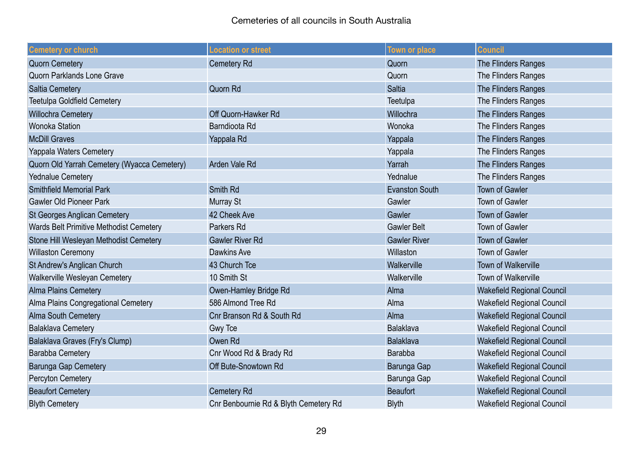| <b>Cemetery or church</b>                   | <b>Location or street</b>             | Town or place         | <b>Council</b>                    |
|---------------------------------------------|---------------------------------------|-----------------------|-----------------------------------|
| <b>Quorn Cemetery</b>                       | <b>Cemetery Rd</b>                    | Quorn                 | The Flinders Ranges               |
| Quorn Parklands Lone Grave                  |                                       | Quorn                 | The Flinders Ranges               |
| <b>Saltia Cemetery</b>                      | Quorn Rd                              | <b>Saltia</b>         | The Flinders Ranges               |
| <b>Teetulpa Goldfield Cemetery</b>          |                                       | Teetulpa              | The Flinders Ranges               |
| Willochra Cemetery                          | Off Quorn-Hawker Rd                   | Willochra             | The Flinders Ranges               |
| <b>Wonoka Station</b>                       | Barndioota Rd                         | Wonoka                | The Flinders Ranges               |
| <b>McDill Graves</b>                        | Yappala Rd                            | Yappala               | The Flinders Ranges               |
| Yappala Waters Cemetery                     |                                       | Yappala               | The Flinders Ranges               |
| Quorn Old Yarrah Cemetery (Wyacca Cemetery) | Arden Vale Rd                         | Yarrah                | The Flinders Ranges               |
| <b>Yednalue Cemetery</b>                    |                                       | Yednalue              | The Flinders Ranges               |
| <b>Smithfield Memorial Park</b>             | Smith Rd                              | <b>Evanston South</b> | <b>Town of Gawler</b>             |
| <b>Gawler Old Pioneer Park</b>              | Murray St                             | Gawler                | <b>Town of Gawler</b>             |
| <b>St Georges Anglican Cemetery</b>         | 42 Cheek Ave                          | Gawler                | <b>Town of Gawler</b>             |
| Wards Belt Primitive Methodist Cemetery     | Parkers Rd                            | <b>Gawler Belt</b>    | <b>Town of Gawler</b>             |
| Stone Hill Wesleyan Methodist Cemetery      | <b>Gawler River Rd</b>                | <b>Gawler River</b>   | <b>Town of Gawler</b>             |
| <b>Willaston Ceremony</b>                   | <b>Dawkins Ave</b>                    | Willaston             | <b>Town of Gawler</b>             |
| St Andrew's Anglican Church                 | 43 Church Tce                         | Walkerville           | <b>Town of Walkerville</b>        |
| Walkerville Wesleyan Cemetery               | 10 Smith St                           | Walkerville           | Town of Walkerville               |
| <b>Alma Plains Cemetery</b>                 | Owen-Hamley Bridge Rd                 | Alma                  | <b>Wakefield Regional Council</b> |
| Alma Plains Congregational Cemetery         | 586 Almond Tree Rd                    | Alma                  | Wakefield Regional Council        |
| <b>Alma South Cemetery</b>                  | Cnr Branson Rd & South Rd             | Alma                  | <b>Wakefield Regional Council</b> |
| <b>Balaklava Cemetery</b>                   | Gwy Tce                               | <b>Balaklava</b>      | Wakefield Regional Council        |
| Balaklava Graves (Fry's Clump)              | Owen Rd                               | Balaklava             | <b>Wakefield Regional Council</b> |
| <b>Barabba Cemetery</b>                     | Cnr Wood Rd & Brady Rd                | Barabba               | Wakefield Regional Council        |
| Barunga Gap Cemetery                        | Off Bute-Snowtown Rd                  | Barunga Gap           | <b>Wakefield Regional Council</b> |
| Percyton Cemetery                           |                                       | Barunga Gap           | Wakefield Regional Council        |
| <b>Beaufort Cemetery</b>                    | Cemetery Rd                           | <b>Beaufort</b>       | <b>Wakefield Regional Council</b> |
| <b>Blyth Cemetery</b>                       | Cnr Benbournie Rd & Blyth Cemetery Rd | <b>Blyth</b>          | Wakefield Regional Council        |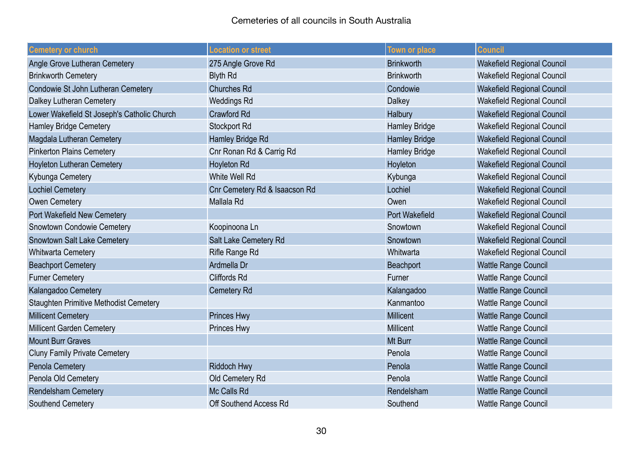| <b>Cemetery or church</b>                   | <b>Location or street</b>     | <b>Town or place</b>  | <b>Council</b>                    |
|---------------------------------------------|-------------------------------|-----------------------|-----------------------------------|
| Angle Grove Lutheran Cemetery               | 275 Angle Grove Rd            | <b>Brinkworth</b>     | <b>Wakefield Regional Council</b> |
| <b>Brinkworth Cemetery</b>                  | <b>Blyth Rd</b>               | <b>Brinkworth</b>     | <b>Wakefield Regional Council</b> |
| Condowie St John Lutheran Cemetery          | <b>Churches Rd</b>            | Condowie              | <b>Wakefield Regional Council</b> |
| Dalkey Lutheran Cemetery                    | <b>Weddings Rd</b>            | Dalkey                | <b>Wakefield Regional Council</b> |
| Lower Wakefield St Joseph's Catholic Church | <b>Crawford Rd</b>            | Halbury               | <b>Wakefield Regional Council</b> |
| <b>Hamley Bridge Cemetery</b>               | Stockport Rd                  | <b>Hamley Bridge</b>  | <b>Wakefield Regional Council</b> |
| Magdala Lutheran Cemetery                   | Hamley Bridge Rd              | <b>Hamley Bridge</b>  | <b>Wakefield Regional Council</b> |
| <b>Pinkerton Plains Cemetery</b>            | Cnr Ronan Rd & Carrig Rd      | Hamley Bridge         | <b>Wakefield Regional Council</b> |
| <b>Hoyleton Lutheran Cemetery</b>           | <b>Hoyleton Rd</b>            | Hoyleton              | <b>Wakefield Regional Council</b> |
| Kybunga Cemetery                            | White Well Rd                 | Kybunga               | <b>Wakefield Regional Council</b> |
| <b>Lochiel Cemetery</b>                     | Cnr Cemetery Rd & Isaacson Rd | Lochiel               | <b>Wakefield Regional Council</b> |
| Owen Cemetery                               | Mallala Rd                    | Owen                  | Wakefield Regional Council        |
| Port Wakefield New Cemetery                 |                               | <b>Port Wakefield</b> | <b>Wakefield Regional Council</b> |
| Snowtown Condowie Cemetery                  | Koopinoona Ln                 | Snowtown              | Wakefield Regional Council        |
| <b>Snowtown Salt Lake Cemetery</b>          | Salt Lake Cemetery Rd         | Snowtown              | <b>Wakefield Regional Council</b> |
| <b>Whitwarta Cemetery</b>                   | Rifle Range Rd                | Whitwarta             | <b>Wakefield Regional Council</b> |
| <b>Beachport Cemetery</b>                   | Ardmella Dr                   | Beachport             | <b>Wattle Range Council</b>       |
| <b>Furner Cemetery</b>                      | <b>Cliffords Rd</b>           | Furner                | Wattle Range Council              |
| Kalangadoo Cemetery                         | <b>Cemetery Rd</b>            | Kalangadoo            | <b>Wattle Range Council</b>       |
| Staughten Primitive Methodist Cemetery      |                               | Kanmantoo             | Wattle Range Council              |
| <b>Millicent Cemetery</b>                   | <b>Princes Hwy</b>            | <b>Millicent</b>      | <b>Wattle Range Council</b>       |
| Millicent Garden Cemetery                   | Princes Hwy                   | Millicent             | Wattle Range Council              |
| <b>Mount Burr Graves</b>                    |                               | Mt Burr               | <b>Wattle Range Council</b>       |
| <b>Cluny Family Private Cemetery</b>        |                               | Penola                | Wattle Range Council              |
| <b>Penola Cemetery</b>                      | <b>Riddoch Hwy</b>            | Penola                | <b>Wattle Range Council</b>       |
| Penola Old Cemetery                         | Old Cemetery Rd               | Penola                | Wattle Range Council              |
| <b>Rendelsham Cemetery</b>                  | Mc Calls Rd                   | Rendelsham            | <b>Wattle Range Council</b>       |
| Southend Cemetery                           | Off Southend Access Rd        | Southend              | Wattle Range Council              |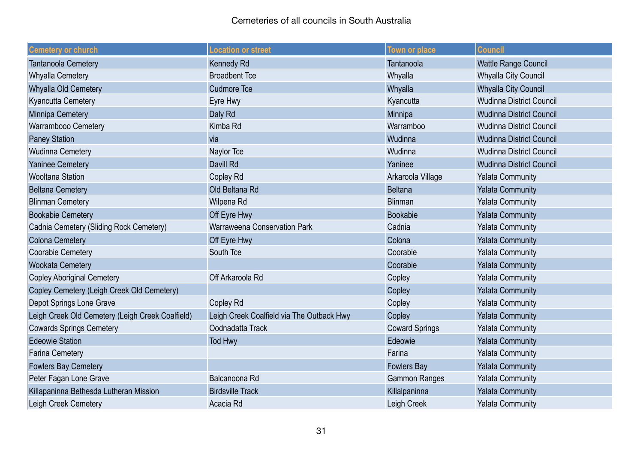| <b>Cemetery or church</b>                        | <b>Location or street</b>                 | <b>Town or place</b>  | <b>Council</b>                  |
|--------------------------------------------------|-------------------------------------------|-----------------------|---------------------------------|
| Tantanoola Cemetery                              | <b>Kennedy Rd</b>                         | Tantanoola            | <b>Wattle Range Council</b>     |
| <b>Whyalla Cemetery</b>                          | <b>Broadbent Tce</b>                      | Whyalla               | <b>Whyalla City Council</b>     |
| Whyalla Old Cemetery                             | <b>Cudmore Tce</b>                        | Whyalla               | <b>Whyalla City Council</b>     |
| <b>Kyancutta Cemetery</b>                        | Eyre Hwy                                  | Kyancutta             | <b>Wudinna District Council</b> |
| Minnipa Cemetery                                 | Daly Rd                                   | Minnipa               | <b>Wudinna District Council</b> |
| Warrambooo Cemetery                              | Kimba Rd                                  | Warramboo             | <b>Wudinna District Council</b> |
| <b>Paney Station</b>                             | via                                       | Wudinna               | <b>Wudinna District Council</b> |
| <b>Wudinna Cemetery</b>                          | Naylor Tce                                | Wudinna               | <b>Wudinna District Council</b> |
| <b>Yaninee Cemetery</b>                          | Davill Rd                                 | Yaninee               | <b>Wudinna District Council</b> |
| <b>Wooltana Station</b>                          | <b>Copley Rd</b>                          | Arkaroola Village     | <b>Yalata Community</b>         |
| <b>Beltana Cemetery</b>                          | Old Beltana Rd                            | <b>Beltana</b>        | <b>Yalata Community</b>         |
| <b>Blinman Cemetery</b>                          | Wilpena Rd                                | <b>Blinman</b>        | <b>Yalata Community</b>         |
| <b>Bookabie Cemetery</b>                         | Off Eyre Hwy                              | <b>Bookabie</b>       | <b>Yalata Community</b>         |
| Cadnia Cemetery (Sliding Rock Cemetery)          | Warraweena Conservation Park              | Cadnia                | <b>Yalata Community</b>         |
| <b>Colona Cemetery</b>                           | Off Eyre Hwy                              | Colona                | <b>Yalata Community</b>         |
| <b>Coorabie Cemetery</b>                         | South Tce                                 | Coorabie              | <b>Yalata Community</b>         |
| <b>Wookata Cemetery</b>                          |                                           | Coorabie              | <b>Yalata Community</b>         |
| <b>Copley Aboriginal Cemetery</b>                | Off Arkaroola Rd                          | Copley                | <b>Yalata Community</b>         |
| Copley Cemetery (Leigh Creek Old Cemetery)       |                                           | Copley                | <b>Yalata Community</b>         |
| Depot Springs Lone Grave                         | <b>Copley Rd</b>                          | Copley                | <b>Yalata Community</b>         |
| Leigh Creek Old Cemetery (Leigh Creek Coalfield) | Leigh Creek Coalfield via The Outback Hwy | Copley                | <b>Yalata Community</b>         |
| <b>Cowards Springs Cemetery</b>                  | Oodnadatta Track                          | <b>Coward Springs</b> | <b>Yalata Community</b>         |
| <b>Edeowie Station</b>                           | <b>Tod Hwy</b>                            | Edeowie               | <b>Yalata Community</b>         |
| <b>Farina Cemetery</b>                           |                                           | Farina                | <b>Yalata Community</b>         |
| <b>Fowlers Bay Cemetery</b>                      |                                           | <b>Fowlers Bay</b>    | <b>Yalata Community</b>         |
| Peter Fagan Lone Grave                           | Balcanoona Rd                             | <b>Gammon Ranges</b>  | <b>Yalata Community</b>         |
| Killapaninna Bethesda Lutheran Mission           | <b>Birdsville Track</b>                   | Killalpaninna         | <b>Yalata Community</b>         |
| Leigh Creek Cemetery                             | Acacia Rd                                 | Leigh Creek           | <b>Yalata Community</b>         |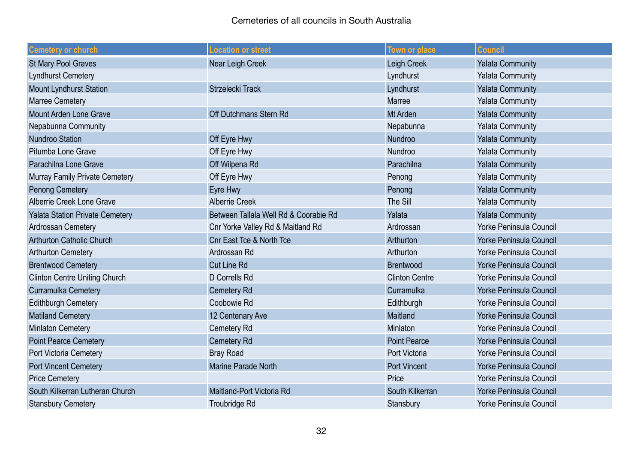## Cemeteries of all councils in South Australia

| <b>Cemetery or church</b>              | <b>Location or street</b>             | <b>Town or place</b>  | <b>Council</b>                 |
|----------------------------------------|---------------------------------------|-----------------------|--------------------------------|
| <b>St Mary Pool Graves</b>             | Near Leigh Creek                      | Leigh Creek           | <b>Yalata Community</b>        |
| <b>Lyndhurst Cemetery</b>              |                                       | Lyndhurst             | <b>Yalata Community</b>        |
| <b>Mount Lyndhurst Station</b>         | Strzelecki Track                      | Lyndhurst             | <b>Yalata Community</b>        |
| <b>Marree Cemetery</b>                 |                                       | Marree                | <b>Yalata Community</b>        |
| Mount Arden Lone Grave                 | Off Dutchmans Stern Rd                | Mt Arden              | <b>Yalata Community</b>        |
| Nepabunna Community                    |                                       | Nepabunna             | <b>Yalata Community</b>        |
| <b>Nundroo Station</b>                 | Off Eyre Hwy                          | Nundroo               | <b>Yalata Community</b>        |
| Pitumba Lone Grave                     | Off Eyre Hwy                          | Nundroo               | <b>Yalata Community</b>        |
| Parachilna Lone Grave                  | Off Wilpena Rd                        | Parachilna            | <b>Yalata Community</b>        |
| Murray Family Private Cemetery         | Off Eyre Hwy                          | Penong                | <b>Yalata Community</b>        |
| <b>Penong Cemetery</b>                 | Eyre Hwy                              | Penong                | <b>Yalata Community</b>        |
| Alberrie Creek Lone Grave              | <b>Alberrie Creek</b>                 | The Sill              | <b>Yalata Community</b>        |
| <b>Yalata Station Private Cemetery</b> | Between Tallala Well Rd & Coorabie Rd | Yalata                | <b>Yalata Community</b>        |
| Ardrossan Cemetery                     | Cnr Yorke Valley Rd & Maitland Rd     | Ardrossan             | Yorke Peninsula Council        |
| <b>Arthurton Catholic Church</b>       | <b>Cnr East Tce &amp; North Tce</b>   | Arthurton             | <b>Yorke Peninsula Council</b> |
| <b>Arthurton Cemetery</b>              | Ardrossan Rd                          | Arthurton             | Yorke Peninsula Council        |
| <b>Brentwood Cemetery</b>              | <b>Cut Line Rd</b>                    | <b>Brentwood</b>      | <b>Yorke Peninsula Council</b> |
| <b>Clinton Centre Uniting Church</b>   | D Corrells Rd                         | <b>Clinton Centre</b> | Yorke Peninsula Council        |
| <b>Curramulka Cemetery</b>             | <b>Cemetery Rd</b>                    | Curramulka            | <b>Yorke Peninsula Council</b> |
| <b>Edithburgh Cemetery</b>             | Coobowie Rd                           | Edithburgh            | <b>Yorke Peninsula Council</b> |
| <b>Matiland Cemetery</b>               | 12 Centenary Ave                      | Maitland              | <b>Yorke Peninsula Council</b> |
| <b>Minlaton Cemetery</b>               | <b>Cemetery Rd</b>                    | Minlaton              | <b>Yorke Peninsula Council</b> |
| <b>Point Pearce Cemetery</b>           | <b>Cemetery Rd</b>                    | <b>Point Pearce</b>   | <b>Yorke Peninsula Council</b> |
| Port Victoria Cemetery                 | <b>Bray Road</b>                      | Port Victoria         | <b>Yorke Peninsula Council</b> |
| <b>Port Vincent Cemetery</b>           | Marine Parade North                   | <b>Port Vincent</b>   | Yorke Peninsula Council        |
| <b>Price Cemetery</b>                  |                                       | Price                 | Yorke Peninsula Council        |
| South Kilkerran Lutheran Church        | Maitland-Port Victoria Rd             | South Kilkerran       | Yorke Peninsula Council        |
| <b>Stansbury Cemetery</b>              | Troubridge Rd                         | Stansbury             | <b>Yorke Peninsula Council</b> |